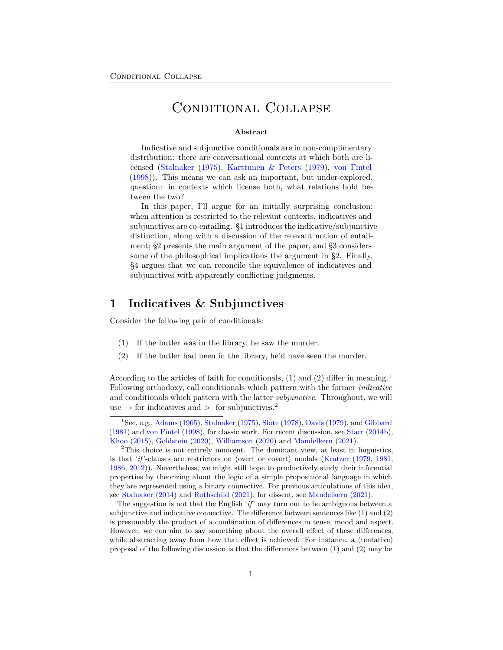# Conditional Collapse

#### **Abstract**

Indicative and subjunctive conditionals are in non-complimentary distribution: there are conversational contexts at which both are licensed ([Stalnaker](#page-31-0) [\(1975](#page-31-0)), [Karttunen & Peters](#page-28-0) [\(1979](#page-28-0)), [von Fintel](#page-31-1) [\(1998](#page-31-1))). This means we can ask an important, but under-explored, question: in contexts which license both, what relations hold between the two?

In this paper, I'll argue for an initially surprising conclusion: when attention is restricted to the relevant contexts, indicatives and subjunctives are co-entailing. §[1](#page-0-0) introduces the indicative/subjunctive distinction, along with a discussion of the relevant notion of entailment; [§2](#page-5-0) presents the main argument of the paper, and [§3](#page-12-0) considers some of the philosophical implications the argument in [§2](#page-5-0). Finally, [§4](#page-15-0) argues that we can reconcile the equivalence of indicatives and subjunctives with apparently conflicting judgments.

## <span id="page-0-0"></span>**1 Indicatives & Subjunctives**

Consider the following pair of conditionals:

- <span id="page-0-1"></span>(1) If the butler was in the library, he saw the murder.
- <span id="page-0-2"></span>(2) If the butler had been in the library, he'd have seen the murder.

According to the articles of faith for conditionals, ([1\)](#page-0-1) and ([2\)](#page-0-2) differ in meaning.[1](#page-0-3) Following orthodoxy, call conditionals which pattern with the former *indicative* and conditionals which pattern with the latter *subjunctive*. Throughout, we will use  $\rightarrow$  for indicatives and  $>$  for subjunctives.<sup>[2](#page-0-4)</sup>

<span id="page-0-3"></span><sup>&</sup>lt;sup>1</sup>See, e.g., [Adams](#page-25-0) [\(1965](#page-25-0)), [Stalnaker](#page-31-0) ([1975\)](#page-31-0), [Slote](#page-30-0) [\(1978\)](#page-30-0), [Davis](#page-26-0) [\(1979\)](#page-26-0), and [Gibbard](#page-26-1) [\(1981\)](#page-26-1) and [von Fintel](#page-31-1) [\(1998\)](#page-31-1), for classic work. For recent discussion, see [Starr](#page-31-2) [\(2014b\)](#page-31-2), [Khoo](#page-28-1) [\(2015\)](#page-28-1), [Goldstein](#page-27-0) [\(2020](#page-27-0)), [Williamson](#page-32-0) ([2020](#page-32-0)) and [Mandelkern](#page-29-0) ([2021](#page-29-0)).

<span id="page-0-4"></span><sup>&</sup>lt;sup>2</sup>This choice is not entirely innocent. The dominant view, at least in linguistics, is that '*if*'-clauses are restrictors on (overt or covert) modals [\(Kratzer](#page-28-2) ([1979](#page-28-2), [1981](#page-28-3), [1986](#page-28-4), [2012](#page-28-5))). Nevertheless, we might still hope to productively study their inferential properties by theorizing about the logic of a simple propositional language in which they are represented using a binary connective. For previous articulations of this idea, see [Stalnaker](#page-31-3) [\(2014\)](#page-31-3) and [Rothschild](#page-30-1) ([2021](#page-30-1)); for dissent, see [Mandelkern](#page-29-0) ([2021](#page-29-0)).

The suggestion is not that the English '*if*' may turn out to be ambiguous between a subjunctive and indicative connective. The difference between sentences like ([1](#page-0-1)) and [\(2\)](#page-0-2) is presumably the product of a combination of differences in tense, mood and aspect. However, we can aim to say something about the overall effect of these differences, while abstracting away from how that effect is achieved. For instance, a (tentative) proposal of the following discussion is that the differences between [\(1\)](#page-0-1) and [\(2](#page-0-2)) may be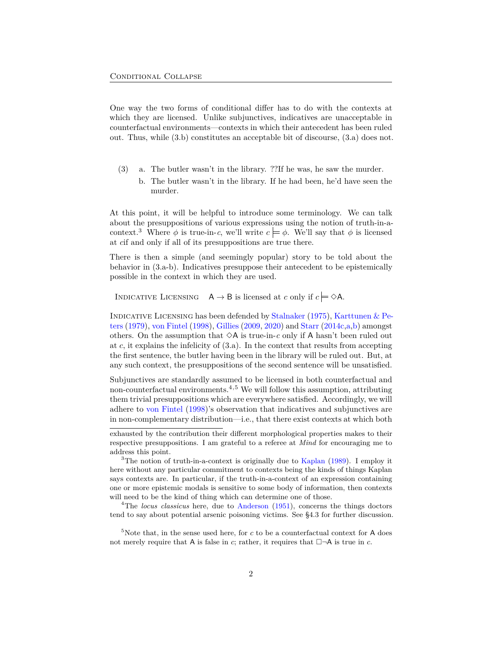One way the two forms of conditional differ has to do with the contexts at which they are licensed. Unlike subjunctives, indicatives are unacceptable in counterfactual environments—contexts in which their antecedent has been ruled out. Thus, while ([3.](#page-1-0)b) constitutes an acceptable bit of discourse, [\(3](#page-1-0).a) does not.

- <span id="page-1-0"></span>(3) a. The butler wasn't in the library. ??If he was, he saw the murder.
	- b. The butler wasn't in the library. If he had been, he'd have seen the murder.

At this point, it will be helpful to introduce some terminology. We can talk about the presuppositions of various expressions using the notion of truth-in-a-context.<sup>[3](#page-1-1)</sup> Where  $\phi$  is true-in-*c*, we'll write  $c \models \phi$ . We'll say that  $\phi$  is licensed at *c*if and only if all of its presuppositions are true there.

There is then a simple (and seemingly popular) story to be told about the behavior in ([3.](#page-1-0)a-b). Indicatives presuppose their antecedent to be epistemically possible in the context in which they are used.

INDICATIVE LICENSING  $A \rightarrow B$  is licensed at *c* only if  $c = \Diamond A$ .

INDICATIVE LICENSING has been defended by [Stalnaker](#page-31-0) ([1975\)](#page-31-0), Karttunen  $\&$  Pe[ters](#page-28-0) [\(1979\)](#page-28-0), [von Fintel](#page-31-1) ([1998](#page-31-1)), [Gillies](#page-26-2) ([2009,](#page-26-2) [2020\)](#page-26-3) and [Starr](#page-31-4) ([2014c,](#page-31-4)[a](#page-31-5)[,b](#page-31-2)) amongst others. On the assumption that  $\Diamond A$  is true-in-*c* only if A hasn't been ruled out at *c*, it explains the infelicity of [\(3](#page-1-0).a). In the context that results from accepting the first sentence, the butler having been in the library will be ruled out. But, at any such context, the presuppositions of the second sentence will be unsatisfied.

Subjunctives are standardly assumed to be licensed in both counterfactual and non-counterfactual environments.[4](#page-1-2)*,*[5](#page-1-3) We will follow this assumption, attributing them trivial presuppositions which are everywhere satisfied. Accordingly, we will adhere to [von Fintel](#page-31-1) ([1998\)](#page-31-1)'s observation that indicatives and subjunctives are in non-complementary distribution—i.e., that there exist contexts at which both

<span id="page-1-2"></span><sup>4</sup>The *locus classicus* here, due to [Anderson](#page-25-1) ([1951](#page-25-1)), concerns the things doctors tend to say about potential arsenic poisoning victims. See [§4](#page-15-0).3 for further discussion.

<span id="page-1-3"></span><sup>5</sup>Note that, in the sense used here, for *c* to be a counterfactual context for A does not merely require that A is false in *c*; rather, it requires that  $\Box \neg A$  is true in *c*.

exhausted by the contribution their different morphological properties makes to their respective presuppositions. I am grateful to a referee at *Mind* for encouraging me to address this point.

<span id="page-1-1"></span><sup>&</sup>lt;sup>3</sup>The notion of truth-in-a-context is originally due to [Kaplan](#page-28-6)  $(1989)$  $(1989)$  $(1989)$ . I employ it here without any particular commitment to contexts being the kinds of things Kaplan says contexts are. In particular, if the truth-in-a-context of an expression containing one or more epistemic modals is sensitive to some body of information, then contexts will need to be the kind of thing which can determine one of those.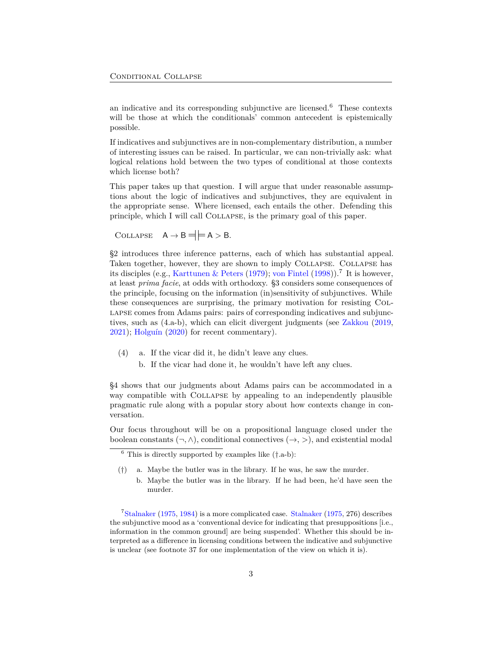an indicative and its corresponding subjunctive are licensed.[6](#page-2-0) These contexts will be those at which the conditionals' common antecedent is epistemically possible.

If indicatives and subjunctives are in non-complementary distribution, a number of interesting issues can be raised. In particular, we can non-trivially ask: what logical relations hold between the two types of conditional at those contexts which license both?

This paper takes up that question. I will argue that under reasonable assumptions about the logic of indicatives and subjunctives, they are equivalent in the appropriate sense. Where licensed, each entails the other. Defending this principle, which I will call Collapse, is the primary goal of this paper.

COLLAPSE  $A \rightarrow B \neq A > B$ .

§[2](#page-5-0) introduces three inference patterns, each of which has substantial appeal. Taken together, however, they are shown to imply Collapse. Collapse has its disciples (e.g., [Karttunen & Peters](#page-28-0) ([1979\)](#page-28-0); [von Fintel](#page-31-1) [\(1998](#page-31-1))).<sup>[7](#page-2-1)</sup> It is however, at least *prima facie*, at odds with orthodoxy. [§3](#page-12-0) considers some consequences of the principle, focusing on the information (in)sensitivity of subjunctives. While these consequences are surprising, the primary motivation for resisting Collapse comes from Adams pairs: pairs of corresponding indicatives and subjunctives, such as ([4.](#page-2-2)a-b), which can elicit divergent judgments (see [Zakkou](#page-32-1) [\(2019](#page-32-1), [2021\)](#page-32-2); [Holguín](#page-27-1) ([2020\)](#page-27-1) for recent commentary).

- <span id="page-2-2"></span>(4) a. If the vicar did it, he didn't leave any clues.
	- b. If the vicar had done it, he wouldn't have left any clues.

§[4](#page-15-0) shows that our judgments about Adams pairs can be accommodated in a way compatible with COLLAPSE by appealing to an independently plausible pragmatic rule along with a popular story about how contexts change in conversation.

Our focus throughout will be on a propositional language closed under the boolean constants  $(\neg, \wedge)$ , conditional connectives  $(\rightarrow, >)$ , and existential modal

b. Maybe the butler was in the library. If he had been, he'd have seen the murder.

<span id="page-2-1"></span> $7$ [Stalnaker](#page-31-0) ([1975,](#page-31-0) [1984](#page-31-6)) is a more complicated case. Stalnaker [\(1975](#page-31-0), 276) describes the subjunctive mood as a 'conventional device for indicating that presuppositions [i.e., information in the common ground] are being suspended'. Whether this should be interpreted as a difference in licensing conditions between the indicative and subjunctive is unclear (see footnote [37](#page-23-0) for one implementation of the view on which it is).

<span id="page-2-0"></span><sup>6</sup> This is directly supported by examples like (*†*.a-b):

<sup>(</sup>*†*) a. Maybe the butler was in the library. If he was, he saw the murder.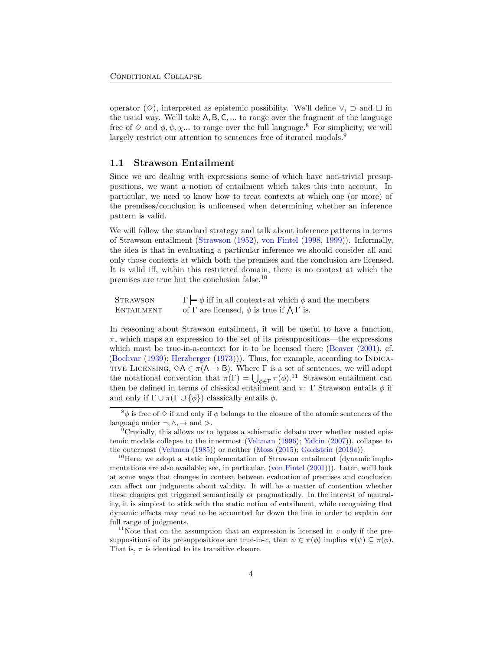operator  $(\Diamond)$ , interpreted as epistemic possibility. We'll define  $\lor$ ,  $\supset$  and  $\square$  in the usual way. We'll take A*,* B*,* C*, ...* to range over the fragment of the language free of  $\Diamond$  and  $\phi, \psi, \chi$ ... to range over the full language.<sup>[8](#page-3-0)</sup> For simplicity, we will largely restrict our attention to sentences free of iterated modals.<sup>[9](#page-3-1)</sup>

#### **1.1 Strawson Entailment**

Since we are dealing with expressions some of which have non-trivial presuppositions, we want a notion of entailment which takes this into account. In particular, we need to know how to treat contexts at which one (or more) of the premises/conclusion is unlicensed when determining whether an inference pattern is valid.

We will follow the standard strategy and talk about inference patterns in terms of Strawson entailment ([Strawson](#page-31-7) ([1952](#page-31-7)), [von Fintel](#page-31-1) [\(1998](#page-31-1), [1999](#page-31-8))). Informally, the idea is that in evaluating a particular inference we should consider all and only those contexts at which both the premises and the conclusion are licensed. It is valid iff, within this restricted domain, there is no context at which the premises are true but the conclusion false.[10](#page-3-2)

| <b>STRAWSON</b> | $\Gamma \models \phi$ iff in all contexts at which $\phi$ and the members |
|-----------------|---------------------------------------------------------------------------|
| ENTAILMENT      | of $\Gamma$ are licensed, $\phi$ is true if $\Lambda \Gamma$ is.          |

In reasoning about Strawson entailment, it will be useful to have a function,  $\pi$ , which maps an expression to the set of its presuppositions—the expressions which must be true-in-a-context for it to be licensed there [\(Beaver](#page-25-2) [\(2001](#page-25-2)), cf.  $(Bochvar(1939); Herzberger(1973))$  $(Bochvar(1939); Herzberger(1973))$  $(Bochvar(1939); Herzberger(1973))$  $(Bochvar(1939); Herzberger(1973))$  $(Bochvar(1939); Herzberger(1973))$  $(Bochvar(1939); Herzberger(1973))$  $(Bochvar(1939); Herzberger(1973))$  $(Bochvar(1939); Herzberger(1973))$ . Thus, for example, according to INDICA-TIVE LICENSING,  $\Diamond A \in \pi(A \rightarrow B)$ . Where  $\Gamma$  is a set of sentences, we will adopt the notational convention that  $\pi(\Gamma) = \bigcup_{\phi \in \Gamma} \pi(\phi)$ .<sup>[11](#page-3-3)</sup> Strawson entailment can then be defined in terms of classical entailment and  $π$ : Γ Strawson entails  $φ$  if and only if  $\Gamma \cup \pi(\Gamma \cup {\phi})$  classically entails  $\phi$ .

<span id="page-3-0"></span><sup>&</sup>lt;sup>8</sup> $\phi$  is free of  $\Diamond$  if and only if  $\phi$  belongs to the closure of the atomic sentences of the language under  $\neg, \wedge, \rightarrow$  and  $\geq$ .

<span id="page-3-1"></span><sup>&</sup>lt;sup>9</sup>Crucially, this allows us to bypass a schismatic debate over whether nested epistemic modals collapse to the innermost [\(Veltman](#page-31-9) [\(1996\)](#page-31-9); [Yalcin](#page-32-3) ([2007](#page-32-3))), collapse to the outermost ([Veltman](#page-31-10) [\(1985\)](#page-31-10)) or neither [\(Moss](#page-29-1) [\(2015\)](#page-29-1); [Goldstein](#page-27-3) ([2019a\)](#page-27-3)).

<span id="page-3-2"></span> $10$ Here, we adopt a static implementation of Strawson entailment (dynamic implementations are also available; see, in particular, [\(von Fintel](#page-31-11) [\(2001\)](#page-31-11))). Later, we'll look at some ways that changes in context between evaluation of premises and conclusion can affect our judgments about validity. It will be a matter of contention whether these changes get triggered semantically or pragmatically. In the interest of neutrality, it is simplest to stick with the static notion of entailment, while recognizing that dynamic effects may need to be accounted for down the line in order to explain our full range of judgments.

<span id="page-3-3"></span><sup>&</sup>lt;sup>11</sup>Note that on the assumption that an expression is licensed in  $c$  only if the presuppositions of its presuppositions are true-in-*c*, then  $\psi \in \pi(\phi)$  implies  $\pi(\psi) \subseteq \pi(\phi)$ . That is,  $\pi$  is identical to its transitive closure.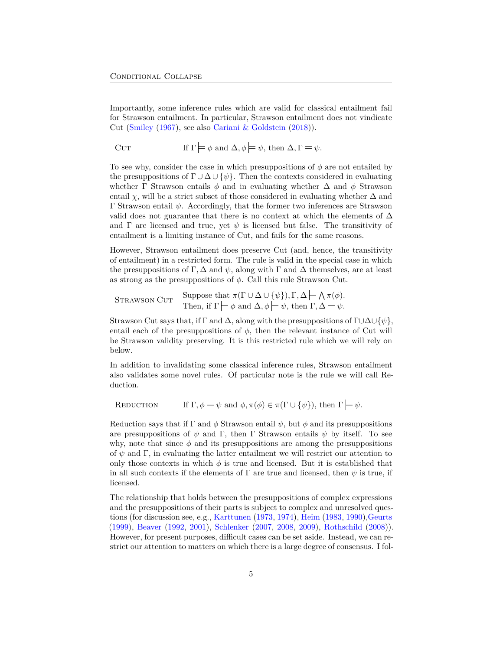Importantly, some inference rules which are valid for classical entailment fail for Strawson entailment. In particular, Strawson entailment does not vindicate Cut ([Smiley](#page-30-2) ([1967\)](#page-30-2), see also [Cariani & Goldstein](#page-25-4) [\(2018](#page-25-4))).

$$
CUT \t\t\t \text{If } \Gamma \models \phi \text{ and } \Delta, \phi \models \psi, \text{ then } \Delta, \Gamma \models \psi.
$$

To see why, consider the case in which presuppositions of *ϕ* are not entailed by the presuppositions of  $\Gamma \cup \Delta \cup \{\psi\}$ . Then the contexts considered in evaluating whether  $\Gamma$  Strawson entails  $\phi$  and in evaluating whether  $\Delta$  and  $\phi$  Strawson entail *χ*, will be a strict subset of those considered in evaluating whether  $\Delta$  and Γ Strawson entail *ψ*. Accordingly, that the former two inferences are Strawson valid does not guarantee that there is no context at which the elements of ∆ and  $\Gamma$  are licensed and true, yet  $\psi$  is licensed but false. The transitivity of entailment is a limiting instance of Cut, and fails for the same reasons.

However, Strawson entailment does preserve Cut (and, hence, the transitivity of entailment) in a restricted form. The rule is valid in the special case in which the presuppositions of  $\Gamma$ ,  $\Delta$  and  $\psi$ , along with  $\Gamma$  and  $\Delta$  themselves, are at least as strong as the presuppositions of *ϕ*. Call this rule Strawson Cut.

STRAWSON CUT  
Then, if 
$$
\Gamma \models \phi
$$
 and  $\Delta, \phi \models \psi$ , then  $\Gamma, \Delta \models \psi$ .

Strawson Cut says that, if Γ and ∆, along with the presuppositions of Γ*∪*∆*∪{ψ}*, entail each of the presuppositions of  $\phi$ , then the relevant instance of Cut will be Strawson validity preserving. It is this restricted rule which we will rely on below.

In addition to invalidating some classical inference rules, Strawson entailment also validates some novel rules. Of particular note is the rule we will call Reduction.

REDUCTION If  $\Gamma, \phi \models \psi$  and  $\phi, \pi(\phi) \in \pi(\Gamma \cup {\psi})$ , then  $\Gamma \models \psi$ .

Reduction says that if  $\Gamma$  and  $\phi$  Strawson entail  $\psi$ , but  $\phi$  and its presuppositions are presuppositions of  $\psi$  and Γ, then Γ Strawson entails  $\psi$  by itself. To see why, note that since  $\phi$  and its presuppositions are among the presuppositions of *ψ* and Γ, in evaluating the latter entailment we will restrict our attention to only those contexts in which  $\phi$  is true and licensed. But it is established that in all such contexts if the elements of  $\Gamma$  are true and licensed, then  $\psi$  is true, if licensed.

The relationship that holds between the presuppositions of complex expressions and the presuppositions of their parts is subject to complex and unresolved questions (for discussion see, e.g., [Karttunen](#page-28-7) [\(1973](#page-28-7), [1974](#page-28-8)), [Heim](#page-27-4) [\(1983](#page-27-4), [1990](#page-27-5)),[Geurts](#page-26-4) [\(1999](#page-26-4)), [Beaver](#page-25-5) [\(1992](#page-25-5), [2001](#page-25-2)), [Schlenker](#page-30-3) ([2007,](#page-30-3) [2008](#page-30-4), [2009](#page-30-5)), [Rothschild](#page-29-2) ([2008\)](#page-29-2)). However, for present purposes, difficult cases can be set aside. Instead, we can restrict our attention to matters on which there is a large degree of consensus. I fol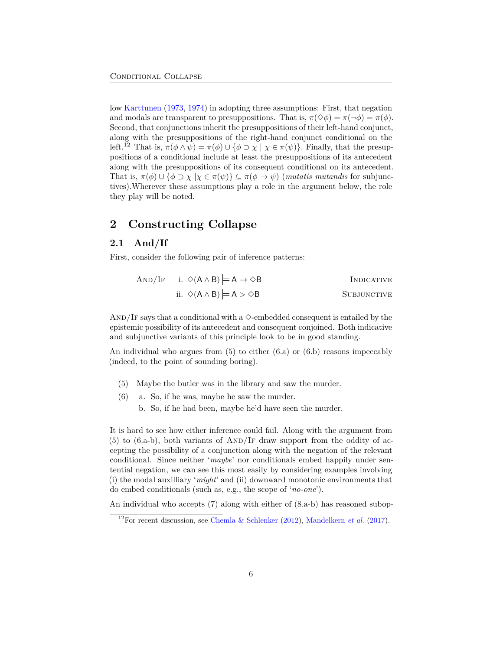low [Karttunen](#page-28-7) [\(1973](#page-28-7), [1974\)](#page-28-8) in adopting three assumptions: First, that negation and modals are transparent to presuppositions. That is,  $\pi(\Diamond \phi) = \pi(\neg \phi) = \pi(\phi)$ . Second, that conjunctions inherit the presuppositions of their left-hand conjunct, along with the presuppositions of the right-hand conjunct conditional on the left.<sup>[12](#page-5-1)</sup> That is,  $\pi(\phi \land \psi) = \pi(\phi) \cup {\phi \supset \chi | \chi \in \pi(\psi)}$ . Finally, that the presuppositions of a conditional include at least the presuppositions of its antecedent along with the presuppositions of its consequent conditional on its antecedent. That is,  $\pi(\phi) \cup \{\phi \supset \chi | \chi \in \pi(\psi)\} \subseteq \pi(\phi \to \psi)$  (*mutatis mutandis* for subjunctives).Wherever these assumptions play a role in the argument below, the role they play will be noted.

## <span id="page-5-0"></span>**2 Constructing Collapse**

### **2.1 And/If**

First, consider the following pair of inference patterns:

| AND/IF i. $\Diamond$ (A $\land$ B) $\models$ A $\rightarrow$ $\Diamond$ B | INDICATIVE  |
|---------------------------------------------------------------------------|-------------|
| ii. $\Diamond$ (A $\land$ B) = A $>$ $\Diamond$ B                         | SUBJUNCTIVE |

AND/IF says that a conditional with a  $\Diamond$ -embedded consequent is entailed by the epistemic possibility of its antecedent and consequent conjoined. Both indicative and subjunctive variants of this principle look to be in good standing.

An individual who argues from  $(5)$  $(5)$  to either  $(6.a)$  $(6.a)$  $(6.a)$  or  $(6.b)$  reasons impeccably (indeed, to the point of sounding boring).

- <span id="page-5-2"></span>(5) Maybe the butler was in the library and saw the murder.
- <span id="page-5-3"></span>(6) a. So, if he was, maybe he saw the murder.
	- b. So, if he had been, maybe he'd have seen the murder.

It is hard to see how either inference could fail. Along with the argument from  $(5)$  $(5)$  to  $(6.a-b)$  $(6.a-b)$  $(6.a-b)$ , both variants of AND/IF draw support from the oddity of accepting the possibility of a conjunction along with the negation of the relevant conditional. Since neither '*maybe*' nor conditionals embed happily under sentential negation, we can see this most easily by considering examples involving (i) the modal auxilliary '*might*' and (ii) downward monotonic environments that do embed conditionals (such as, e.g., the scope of '*no-one*').

An individual who accepts ([7\)](#page-6-0) along with either of [\(8](#page-6-1).a-b) has reasoned subop-

<span id="page-5-1"></span><sup>&</sup>lt;sup>12</sup>For recent discussion, see [Chemla & Schlenker](#page-25-6) [\(2012\)](#page-25-6), [Mandelkern](#page-29-3) *et al.* [\(2017\)](#page-29-3).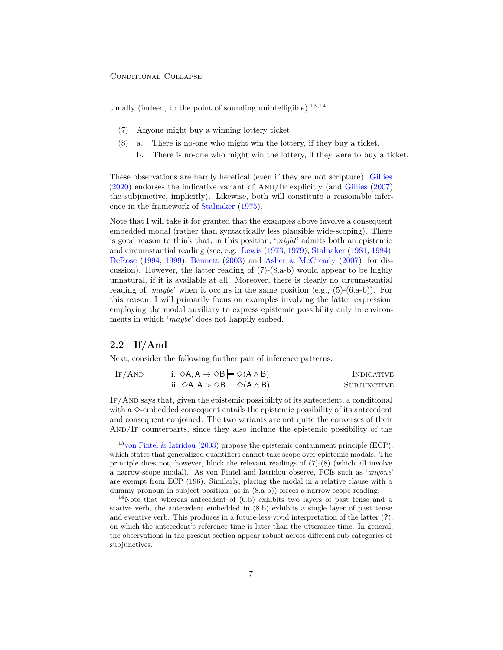timally (indeed, to the point of sounding unintelligible).[13](#page-6-2)*,*[14](#page-6-3)

- <span id="page-6-0"></span>(7) Anyone might buy a winning lottery ticket.
- <span id="page-6-1"></span>(8) a. There is no-one who might win the lottery, if they buy a ticket.
	- b. There is no-one who might win the lottery, if they were to buy a ticket.

These observations are hardly heretical (even if they are not scripture). [Gillies](#page-26-3)  $(2020)$  $(2020)$  endorses the indicative variant of AND/IF explicitly (and [Gillies](#page-26-5) ([2007\)](#page-26-5) the subjunctive, implicitly). Likewise, both will constitute a reasonable inference in the framework of [Stalnaker](#page-31-0) [\(1975](#page-31-0)).

Note that I will take it for granted that the examples above involve a consequent embedded modal (rather than syntactically less plausible wide-scoping). There is good reason to think that, in this position, '*might*' admits both an epistemic and circumstantial reading (see, e.g., [Lewis](#page-29-4) [\(1973,](#page-29-4) [1979](#page-29-5)), [Stalnaker](#page-31-12) [\(1981,](#page-31-12) [1984](#page-31-6)), [DeRose](#page-26-6) [\(1994](#page-26-6), [1999](#page-26-7)), [Bennett](#page-25-7) ([2003\)](#page-25-7) and [Asher & McCready](#page-25-8) ([2007\)](#page-25-8), for discussion). However, the latter reading of ([7\)](#page-6-0)-([8.](#page-6-1)a-b) would appear to be highly unnatural, if it is available at all. Moreover, there is clearly no circumstantial reading of '*maybe*' when it occurs in the same position (e.g., [\(5](#page-5-2))-[\(6](#page-5-3).a-b)). For this reason, I will primarily focus on examples involving the latter expression, employing the modal auxiliary to express epistemic possibility only in environments in which '*maybe*' does not happily embed.

### **2.2 If/And**

Next, consider the following further pair of inference patterns:

IF/AND  
i. 
$$
\diamond A, A \rightarrow \diamond B \models \diamond (A \land B)
$$
  
INDICATIVE  
ii.  $\diamond A, A \ge \diamond B \models \diamond (A \land B)$   
SUBJUNCTIVE  

If/And says that, given the epistemic possibility of its antecedent, a conditional with a  $\Diamond$ -embedded consequent entails the epistemic possibility of its antecedent and consequent conjoined. The two variants are not quite the converses of their And/If counterparts, since they also include the epistemic possibility of the

<span id="page-6-2"></span><sup>&</sup>lt;sup>13</sup>[von Fintel & Iatridou](#page-32-4) ([2003](#page-32-4)) propose the epistemic containment principle (ECP), which states that generalized quantifiers cannot take scope over epistemic modals. The principle does not, however, block the relevant readings of  $(7)-(8)$  $(7)-(8)$  $(7)-(8)$  (which all involve a narrow-scope modal). As von Fintel and Iatridou observe, FCIs such as '*anyone*' are exempt from ECP (196). Similarly, placing the modal in a relative clause with a dummy pronoun in subject position (as in [\(8.](#page-6-1)a-b)) forces a narrow-scope reading.

<span id="page-6-3"></span> $14$ Note that whereas antecedent of  $(6.b)$  $(6.b)$  $(6.b)$  exhibits two layers of past tense and a stative verb, the antecedent embedded in ([8](#page-6-1).b) exhibits a single layer of past tense and eventive verb. This produces in a future-less-vivid interpretation of the latter (**?**), on which the antecedent's reference time is later than the utterance time. In general, the observations in the present section appear robust across different sub-categories of subjunctives.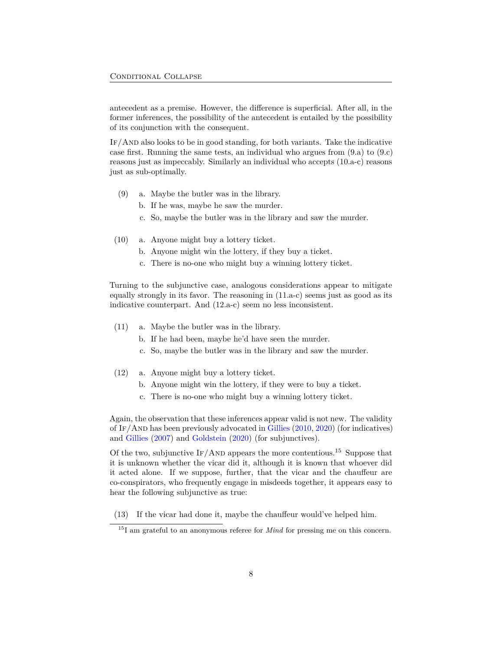antecedent as a premise. However, the difference is superficial. After all, in the former inferences, the possibility of the antecedent is entailed by the possibility of its conjunction with the consequent.

If/And also looks to be in good standing, for both variants. Take the indicative case first. Running the same tests, an individual who argues from  $(9.a)$  $(9.a)$  $(9.a)$  to  $(9.c)$ reasons just as impeccably. Similarly an individual who accepts ([10.](#page-7-1)a-c) reasons just as sub-optimally.

- <span id="page-7-0"></span>(9) a. Maybe the butler was in the library.
	- b. If he was, maybe he saw the murder.
	- c. So, maybe the butler was in the library and saw the murder.
- <span id="page-7-1"></span>(10) a. Anyone might buy a lottery ticket.
	- b. Anyone might win the lottery, if they buy a ticket.
	- c. There is no-one who might buy a winning lottery ticket.

Turning to the subjunctive case, analogous considerations appear to mitigate equally strongly in its favor. The reasoning in [\(11](#page-7-2).a-c) seems just as good as its indicative counterpart. And ([12.](#page-7-3)a-c) seem no less inconsistent.

- <span id="page-7-2"></span>(11) a. Maybe the butler was in the library.
	- b. If he had been, maybe he'd have seen the murder.
	- c. So, maybe the butler was in the library and saw the murder.
- <span id="page-7-3"></span>(12) a. Anyone might buy a lottery ticket.
	- b. Anyone might win the lottery, if they were to buy a ticket.
	- c. There is no-one who might buy a winning lottery ticket.

Again, the observation that these inferences appear valid is not new. The validity of If/And has been previously advocated in [Gillies](#page-26-8) [\(2010](#page-26-8), [2020](#page-26-3)) (for indicatives) and [Gillies](#page-26-5) ([2007\)](#page-26-5) and [Goldstein](#page-27-0) ([2020\)](#page-27-0) (for subjunctives).

Of the two, subjunctive  $IF/AND$  appears the more contentious.<sup>[15](#page-7-4)</sup> Suppose that it is unknown whether the vicar did it, although it is known that whoever did it acted alone. If we suppose, further, that the vicar and the chauffeur are co-conspirators, who frequently engage in misdeeds together, it appears easy to hear the following subjunctive as true:

<span id="page-7-5"></span>(13) If the vicar had done it, maybe the chauffeur would've helped him.

<span id="page-7-4"></span><sup>&</sup>lt;sup>15</sup>I am grateful to an anonymous referee for *Mind* for pressing me on this concern.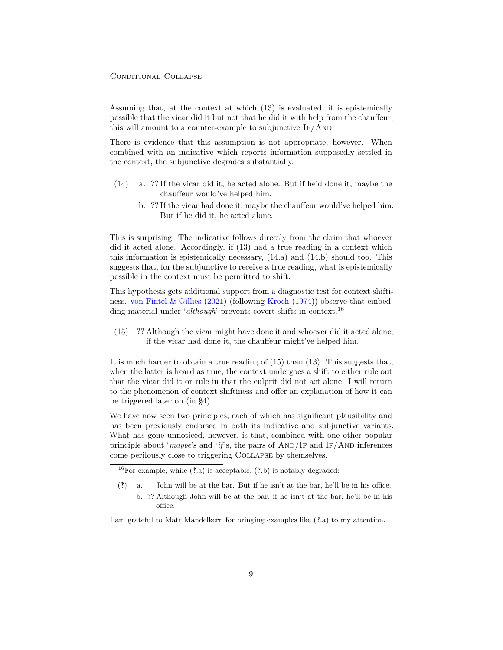Assuming that, at the context at which [\(13](#page-7-5)) is evaluated, it is epistemically possible that the vicar did it but not that he did it with help from the chauffeur, this will amount to a counter-example to subjunctive  $IF/AND$ .

There is evidence that this assumption is not appropriate, however. When combined with an indicative which reports information supposedly settled in the context, the subjunctive degrades substantially.

- <span id="page-8-0"></span>(14) a. ?? If the vicar did it, he acted alone. But if he'd done it, maybe the chauffeur would've helped him.
	- b. ?? If the vicar had done it, maybe the chauffeur would've helped him. But if he did it, he acted alone.

This is surprising. The indicative follows directly from the claim that whoever did it acted alone. Accordingly, if ([13\)](#page-7-5) had a true reading in a context which this information is epistemically necessary, ([14.](#page-8-0)a) and ([14.](#page-8-0)b) should too. This suggests that, for the subjunctive to receive a true reading, what is epistemically possible in the context must be permitted to shift.

This hypothesis gets additional support from a diagnostic test for context shiftiness. [von Fintel & Gillies](#page-32-5) [\(2021](#page-32-5)) (following [Kroch](#page-29-6) [\(1974](#page-29-6))) observe that embedding material under '*although*' prevents covert shifts in context.<sup>[16](#page-8-1)</sup>

<span id="page-8-2"></span>(15) ?? Although the vicar might have done it and whoever did it acted alone, if the vicar had done it, the chauffeur might've helped him.

It is much harder to obtain a true reading of [\(15](#page-8-2)) than ([13\)](#page-7-5). This suggests that, when the latter is heard as true, the context undergoes a shift to either rule out that the vicar did it or rule in that the culprit did not act alone. I will return to the phenomenon of context shiftiness and offer an explanation of how it can be triggered later on (in §[4\)](#page-15-0).

We have now seen two principles, each of which has significant plausibility and has been previously endorsed in both its indicative and subjunctive variants. What has gone unnoticed, however, is that, combined with one other popular principle about '*maybe*'s and '*if*'s, the pairs of  $AND/IF$  and  $IF/AND$  inferences come perilously close to triggering Collapse by themselves.

I am grateful to Matt Mandelkern for bringing examples like (‽.a) to my attention.

<span id="page-8-1"></span><sup>&</sup>lt;sup>16</sup>For example, while  $(*a)$  is acceptable,  $(*b)$  is notably degraded:

<sup>(‽)</sup> a. John will be at the bar. But if he isn't at the bar, he'll be in his office. b. ?? Although John will be at the bar, if he isn't at the bar, he'll be in his office.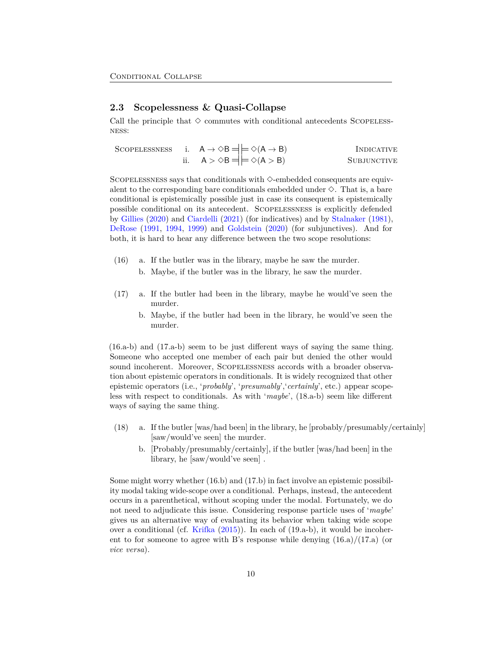### **2.3 Scopelessness & Quasi-Collapse**

Call the principle that  $\diamond$  commutes with conditional antecedents SCOPELESS-NESS:

|  | SCOPELESSNESS i. $A \rightarrow \Diamond B = \models \Diamond (A \rightarrow B)$ | INDICATIVE         |
|--|----------------------------------------------------------------------------------|--------------------|
|  | ii. $A > \Diamond B = \models \Diamond (A > B)$                                  | <b>SUBJUNCTIVE</b> |

SCOPELESSNESS says that conditionals with  $\Diamond$ -embedded consequents are equivalent to the corresponding bare conditionals embedded under  $\Diamond$ . That is, a bare conditional is epistemically possible just in case its consequent is epistemically possible conditional on its antecedent. Scopelessness is explicitly defended by [Gillies](#page-26-3) ([2020\)](#page-26-3) and [Ciardelli](#page-25-9) [\(2021](#page-25-9)) (for indicatives) and by [Stalnaker](#page-31-12) [\(1981](#page-31-12)), [DeRose](#page-26-9) ([1991,](#page-26-9) [1994,](#page-26-6) [1999\)](#page-26-7) and [Goldstein](#page-27-0) ([2020\)](#page-27-0) (for subjunctives). And for both, it is hard to hear any difference between the two scope resolutions:

- <span id="page-9-0"></span>(16) a. If the butler was in the library, maybe he saw the murder.
	- b. Maybe, if the butler was in the library, he saw the murder.
- <span id="page-9-1"></span>(17) a. If the butler had been in the library, maybe he would've seen the murder.
	- b. Maybe, if the butler had been in the library, he would've seen the murder.

[\(16](#page-9-0).a-b) and ([17.](#page-9-1)a-b) seem to be just different ways of saying the same thing. Someone who accepted one member of each pair but denied the other would sound incoherent. Moreover, Scopelessness accords with a broader observation about epistemic operators in conditionals. It is widely recognized that other epistemic operators (i.e., '*probably*', '*presumably*','*certainly*', etc.) appear scopeless with respect to conditionals. As with '*maybe*', [\(18](#page-9-2).a-b) seem like different ways of saying the same thing.

- <span id="page-9-2"></span>(18) a. If the butler [was/had been] in the library, he [probably/presumably/certainly] [saw/would've seen] the murder.
	- b. [Probably/presumably/certainly], if the butler [was/had been] in the library, he [saw/would've seen] .

Some might worry whether [\(16](#page-9-0).b) and ([17.](#page-9-1)b) in fact involve an epistemic possibility modal taking wide-scope over a conditional. Perhaps, instead, the antecedent occurs in a parenthetical, without scoping under the modal. Fortunately, we do not need to adjudicate this issue. Considering response particle uses of '*maybe*' gives us an alternative way of evaluating its behavior when taking wide scope over a conditional (cf. [Krifka](#page-29-7)  $(2015)$  $(2015)$ ). In each of  $(19.a-b)$  $(19.a-b)$  $(19.a-b)$ , it would be incoherent to for someone to agree with B's response while denying  $(16.a)/(17.a)$  $(16.a)/(17.a)$  $(16.a)/(17.a)$  $(16.a)/(17.a)$  (or *vice versa*).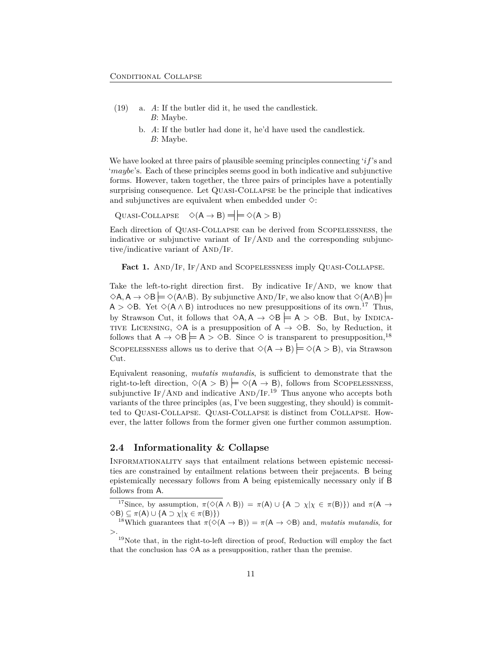- <span id="page-10-0"></span>(19) a. *A*: If the butler did it, he used the candlestick. *B*: Maybe.
	- b. *A*: If the butler had done it, he'd have used the candlestick. *B*: Maybe.

We have looked at three pairs of plausible seeming principles connecting '*if*'s and '*maybe*'s. Each of these principles seems good in both indicative and subjunctive forms. However, taken together, the three pairs of principles have a potentially surprising consequence. Let Quasi-Collapse be the principle that indicatives and subjunctives are equivalent when embedded under  $\diamond$ :

 $\text{Quasi-COLLapse} \quad \diamond (A \rightarrow B) = \models \diamond (A > B)$ 

Each direction of Quasi-Collapse can be derived from Scopelessness, the indicative or subjunctive variant of  $IF/AND$  and the corresponding subjunctive/indicative variant of  $AND/IF$ .

Fact 1. AND/IF, IF/AND and SCOPELESSNESS imply QUASI-COLLAPSE.

Take the left-to-right direction first. By indicative  $IF/AND$ , we know that  $\Diamond A, A \rightarrow \Diamond B \models \Diamond (A \land B)$ . By subjunctive AND/IF, we also know that  $\Diamond (A \land B) \models$ A >  $\diamond$ B. Yet  $\diamond$ (A  $\wedge$  B) introduces no new presuppositions of its own.<sup>[17](#page-10-1)</sup> Thus, by Strawson Cut, it follows that  $\Diamond A, A \rightarrow \Diamond B \models A > \Diamond B$ . But, by INDICA-TIVE LICENSING,  $\Diamond A$  is a presupposition of  $A \rightarrow \Diamond B$ . So, by Reduction, it follows that  $A \to \Diamond B \models A > \Diamond B$ . Since  $\Diamond$  is transparent to presupposition,<sup>[18](#page-10-2)</sup> SCOPELESSNESS allows us to derive that  $\Diamond(A \rightarrow B) \models \Diamond(A > B)$ , via Strawson Cut.

Equivalent reasoning, *mutatis mutandis*, is sufficient to demonstrate that the right-to-left direction,  $\Diamond$ (A > B)  $\models \Diamond$ (A  $\rightarrow$  B), follows from SCOPELESSNESS, subjunctive IF/AND and indicative  $\text{AND}/\text{IF}^{19}$  $\text{AND}/\text{IF}^{19}$  $\text{AND}/\text{IF}^{19}$  Thus anyone who accepts both variants of the three principles (as, I've been suggesting, they should) is committed to Quasi-Collapse. Quasi-Collapse is distinct from Collapse. However, the latter follows from the former given one further common assumption.

### **2.4 Informationality & Collapse**

Informationality says that entailment relations between epistemic necessities are constrained by entailment relations between their prejacents. B being epistemically necessary follows from A being epistemically necessary only if B follows from A.

<span id="page-10-1"></span><sup>&</sup>lt;sup>17</sup>Since, by assumption,  $\pi$ ( $\Diamond$ (A  $\land$  B)) =  $\pi$ (A) ∪ {A ⊃  $\chi$ | $\chi$  ∈  $\pi$ (B)}) and  $\pi$ (A → <sup>3</sup>B) *<sup>⊆</sup> <sup>π</sup>*(A) *∪ {*<sup>A</sup> *<sup>⊃</sup> <sup>χ</sup>|<sup>χ</sup> <sup>∈</sup> <sup>π</sup>*(B)*}*)

<span id="page-10-2"></span><sup>&</sup>lt;sup>18</sup>Which guarantees that  $\pi(\diamond(A \to B)) = \pi(A \to \diamond B)$  and, *mutatis mutandis*, for *>*.

<span id="page-10-3"></span> $19$ Note that, in the right-to-left direction of proof, Reduction will employ the fact that the conclusion has  $\Diamond A$  as a presupposition, rather than the premise.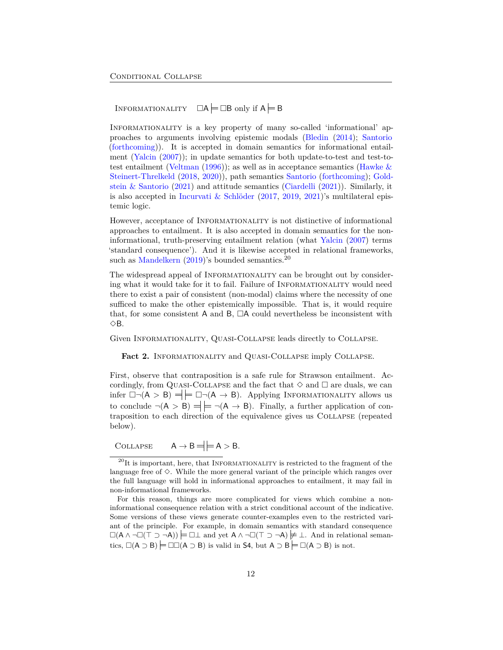INFORMATIONALITY  $\Box A \models \Box B$  only if  $A \models B$ 

Informationality is a key property of many so-called 'informational' approaches to arguments involving epistemic modals ([Bledin](#page-25-10) [\(2014](#page-25-10)); [Santorio](#page-30-6) [\(forthcoming\)](#page-30-6)). It is accepted in domain semantics for informational entailment [\(Yalcin](#page-32-3) ([2007\)](#page-32-3)); in update semantics for both update-to-test and test-to-test entailment ([Veltman](#page-31-9) ([1996](#page-31-9))); as well as in acceptance semantics (Hawke  $\&$ [Steinert-Threlkeld](#page-27-6) [\(2018](#page-27-6), [2020](#page-27-7))), path semantics [Santorio](#page-30-6) [\(forthcoming\)](#page-30-6); [Gold](#page-27-8)[stein & Santorio](#page-27-8)  $(2021)$  $(2021)$  and attitude semantics  $(Ciardelli (2021))$  $(Ciardelli (2021))$  $(Ciardelli (2021))$  $(Ciardelli (2021))$  $(Ciardelli (2021))$ . Similarly, it is also accepted in [Incurvati & Schlöder](#page-27-9)  $(2017, 2019, 2021)$  $(2017, 2019, 2021)$  $(2017, 2019, 2021)$  $(2017, 2019, 2021)$  $(2017, 2019, 2021)$  $(2017, 2019, 2021)$  $(2017, 2019, 2021)$ 's multilateral epistemic logic.

However, acceptance of INFORMATIONALITY is not distinctive of informational approaches to entailment. It is also accepted in domain semantics for the noninformational, truth-preserving entailment relation (what [Yalcin](#page-32-3) [\(2007](#page-32-3)) terms 'standard consequence'). And it is likewise accepted in relational frameworks, such as [Mandelkern](#page-29-8)  $(2019)$  $(2019)$ 's bounded semantics.<sup>[20](#page-11-0)</sup>

The widespread appeal of INFORMATIONALITY can be brought out by considering what it would take for it to fail. Failure of INFORMATIONALITY would need there to exist a pair of consistent (non-modal) claims where the necessity of one sufficed to make the other epistemically impossible. That is, it would require that, for some consistent A and B,  $\Box A$  could nevertheless be inconsistent with  $\Diamond B$ .

Given Informationality, Quasi-Collapse leads directly to Collapse.

<span id="page-11-1"></span>Fact 2. INFORMATIONALITY and QUASI-COLLAPSE imply COLLAPSE.

First, observe that contraposition is a safe rule for Strawson entailment. Accordingly, from QUASI-COLLAPSE and the fact that  $\diamond$  and  $\square$  are duals, we can infer  $\Box \neg (A > B) = \models \Box \neg (A \rightarrow B)$ . Applying INFORMATIONALITY allows us to conclude  $\neg(A > B) \stackrel{\text{def}}{=} \neg(A \rightarrow B)$ . Finally, a further application of contraposition to each direction of the equivalence gives us Collapse (repeated below).

 $COLLAPSE \tA \rightarrow B = \t| A > B.$ 

For this reason, things are more complicated for views which combine a noninformational consequence relation with a strict conditional account of the indicative. Some versions of these views generate counter-examples even to the restricted variant of the principle. For example, in domain semantics with standard consequence (A *∧ ¬*(*⊤ ⊃ ¬*A)) *⊥* and yet A *∧ ¬*(*⊤ ⊃ ¬*A) *̸ ⊥*. And in relational semantics,  $\square(A \supset B)$   $\square\square(A \supset B)$  is valid in S4, but  $A \supset B$   $\square(A \supset B)$  is not.

<span id="page-11-0"></span> $^{20}$ It is important, here, that INFORMATIONALITY is restricted to the fragment of the language free of  $\Diamond$ . While the more general variant of the principle which ranges over the full language will hold in informational approaches to entailment, it may fail in non-informational frameworks.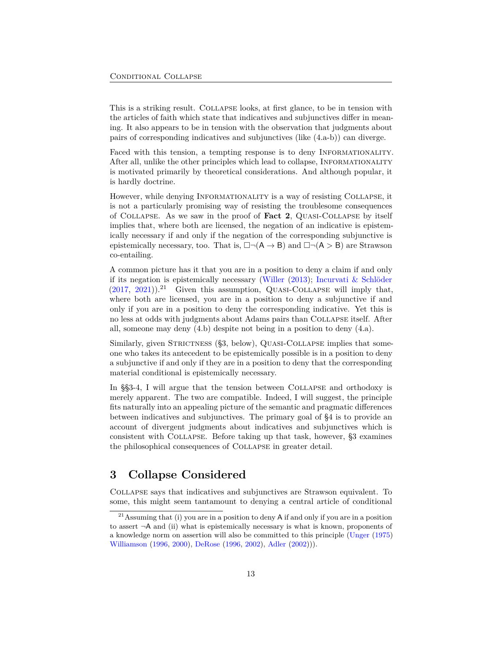This is a striking result. Collapse looks, at first glance, to be in tension with the articles of faith which state that indicatives and subjunctives differ in meaning. It also appears to be in tension with the observation that judgments about pairs of corresponding indicatives and subjunctives (like [\(4](#page-2-2).a-b)) can diverge.

Faced with this tension, a tempting response is to deny INFORMATIONALITY. After all, unlike the other principles which lead to collapse, INFORMATIONALITY is motivated primarily by theoretical considerations. And although popular, it is hardly doctrine.

However, while denying Informationality is a way of resisting Collapse, it is not a particularly promising way of resisting the troublesome consequences of Collapse. As we saw in the proof of **Fact [2](#page-11-1)**, Quasi-Collapse by itself implies that, where both are licensed, the negation of an indicative is epistemically necessary if and only if the negation of the corresponding subjunctive is epistemically necessary, too. That is,  $\Box \neg(A \rightarrow B)$  and  $\Box \neg(A > B)$  are Strawson co-entailing.

A common picture has it that you are in a position to deny a claim if and only if its negation is epistemically necessary ([Willer](#page-32-6) [\(2013](#page-32-6)); [Incurvati & Schlöder](#page-27-9)  $(2017, 2021)$  $(2017, 2021)$  $(2017, 2021)$  $(2017, 2021)$ .<sup>[21](#page-12-1)</sup> Given this assumption, QUASI-COLLAPSE will imply that, where both are licensed, you are in a position to deny a subjunctive if and only if you are in a position to deny the corresponding indicative. Yet this is no less at odds with judgments about Adams pairs than Collapse itself. After all, someone may deny ([4.](#page-2-2)b) despite not being in a position to deny [\(4](#page-2-2).a).

Similarly, given STRICTNESS ([§3](#page-12-0), below), QUASI-COLLAPSE implies that someone who takes its antecedent to be epistemically possible is in a position to deny a subjunctive if and only if they are in a position to deny that the corresponding material conditional is epistemically necessary.

In §[§3](#page-12-0)[-4](#page-15-0), I will argue that the tension between Collapse and orthodoxy is merely apparent. The two are compatible. Indeed, I will suggest, the principle fits naturally into an appealing picture of the semantic and pragmatic differences between indicatives and subjunctives. The primary goal of [§4](#page-15-0) is to provide an account of divergent judgments about indicatives and subjunctives which is consistent with Collapse. Before taking up that task, however, [§3](#page-12-0) examines the philosophical consequences of Collapse in greater detail.

## <span id="page-12-0"></span>**3 Collapse Considered**

Collapse says that indicatives and subjunctives are Strawson equivalent. To some, this might seem tantamount to denying a central article of conditional

<span id="page-12-1"></span><sup>&</sup>lt;sup>21</sup>Assuming that (i) you are in a position to deny A if and only if you are in a position to assert *¬*A and (ii) what is epistemically necessary is what is known, proponents of a knowledge norm on assertion will also be committed to this principle ([Unger](#page-31-13) ([1975\)](#page-31-13) [Williamson](#page-32-7) ([1996](#page-32-7), [2000](#page-32-8)), [DeRose](#page-26-10) [\(1996,](#page-26-10) [2002\)](#page-26-11), [Adler](#page-25-11) ([2002](#page-25-11)))).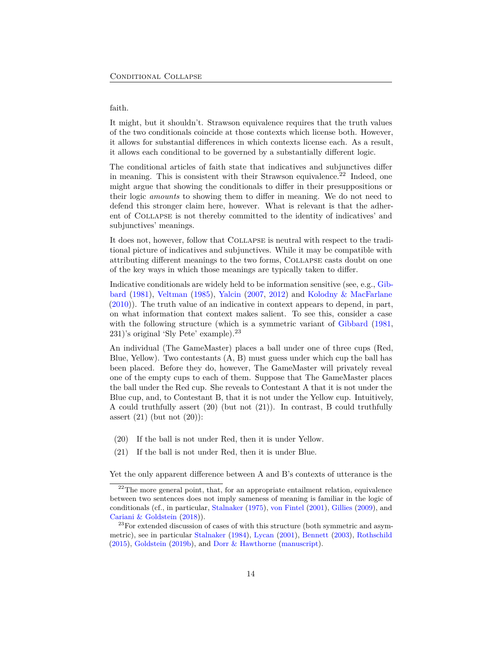#### faith.

It might, but it shouldn't. Strawson equivalence requires that the truth values of the two conditionals coincide at those contexts which license both. However, it allows for substantial differences in which contexts license each. As a result, it allows each conditional to be governed by a substantially different logic.

The conditional articles of faith state that indicatives and subjunctives differ in meaning. This is consistent with their Strawson equivalence.<sup>[22](#page-13-0)</sup> Indeed, one might argue that showing the conditionals to differ in their presuppositions or their logic *amounts* to showing them to differ in meaning. We do not need to defend this stronger claim here, however. What is relevant is that the adherent of Collapse is not thereby committed to the identity of indicatives' and subjunctives' meanings.

It does not, however, follow that Collapse is neutral with respect to the traditional picture of indicatives and subjunctives. While it may be compatible with attributing different meanings to the two forms, Collapse casts doubt on one of the key ways in which those meanings are typically taken to differ.

Indicative conditionals are widely held to be information sensitive (see, e.g., [Gib](#page-26-1)[bard](#page-26-1) [\(1981](#page-26-1)), [Veltman](#page-31-10) ([1985\)](#page-31-10), [Yalcin](#page-32-3) [\(2007](#page-32-3), [2012](#page-32-9)) and [Kolodny & MacFarlane](#page-28-10) [\(2010](#page-28-10))). The truth value of an indicative in context appears to depend, in part, on what information that context makes salient. To see this, consider a case with the following structure (which is a symmetric variant of [Gibbard](#page-26-1) [\(1981](#page-26-1), 231)'s original 'Sly Pete' example).[23](#page-13-1)

An individual (The GameMaster) places a ball under one of three cups (Red, Blue, Yellow). Two contestants (A, B) must guess under which cup the ball has been placed. Before they do, however, The GameMaster will privately reveal one of the empty cups to each of them. Suppose that The GameMaster places the ball under the Red cup. She reveals to Contestant A that it is not under the Blue cup, and, to Contestant B, that it is not under the Yellow cup. Intuitively, A could truthfully assert [\(20](#page-13-2)) (but not ([21\)](#page-13-3)). In contrast, B could truthfully assert  $(21)$  $(21)$  (but not  $(20)$  $(20)$ ):

- <span id="page-13-2"></span>(20) If the ball is not under Red, then it is under Yellow.
- <span id="page-13-3"></span>(21) If the ball is not under Red, then it is under Blue.

Yet the only apparent difference between A and B's contexts of utterance is the

<span id="page-13-0"></span> $22$ The more general point, that, for an appropriate entailment relation, equivalence between two sentences does not imply sameness of meaning is familiar in the logic of conditionals (cf., in particular, [Stalnaker](#page-31-0) [\(1975\)](#page-31-0), [von Fintel](#page-31-11) ([2001\)](#page-31-11), [Gillies](#page-26-2) [\(2009\)](#page-26-2), and [Cariani & Goldstein](#page-25-4) ([2018](#page-25-4))).

<span id="page-13-1"></span> $^{23}$ For extended discussion of cases of with this structure (both symmetric and asymmetric), see in particular [Stalnaker](#page-31-6) ([1984\)](#page-31-6), [Lycan](#page-29-9) [\(2001\)](#page-29-9), [Bennett](#page-25-7) ([2003](#page-25-7)), [Rothschild](#page-30-7) [\(2015\)](#page-30-7), [Goldstein](#page-27-11) [\(2019b\)](#page-27-11), and [Dorr & Hawthorne](#page-26-12) ([manuscript\)](#page-26-12).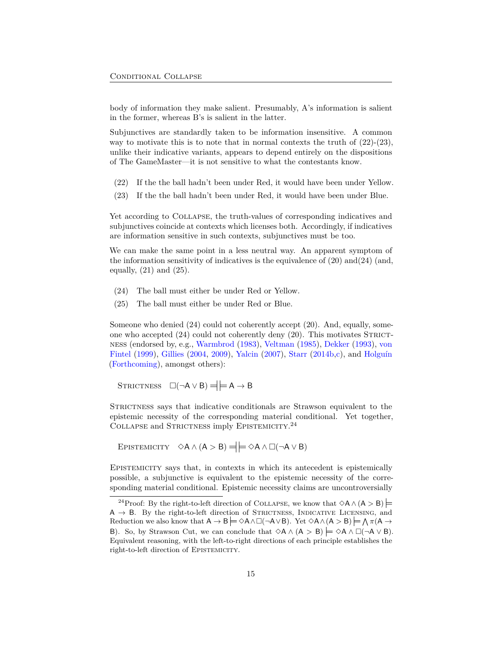body of information they make salient. Presumably, A's information is salient in the former, whereas B's is salient in the latter.

Subjunctives are standardly taken to be information insensitive. A common way to motivate this is to note that in normal contexts the truth of  $(22)-(23)$  $(22)-(23)$  $(22)-(23)$  $(22)-(23)$ , unlike their indicative variants, appears to depend entirely on the dispositions of The GameMaster—it is not sensitive to what the contestants know.

- <span id="page-14-0"></span>(22) If the the ball hadn't been under Red, it would have been under Yellow.
- <span id="page-14-1"></span>(23) If the the ball hadn't been under Red, it would have been under Blue.

Yet according to Collapse, the truth-values of corresponding indicatives and subjunctives coincide at contexts which licenses both. Accordingly, if indicatives are information sensitive in such contexts, subjunctives must be too.

We can make the same point in a less neutral way. An apparent symptom of the information sensitivity of indicatives is the equivalence of [\(20\)](#page-13-2) and([24\)](#page-14-2) (and, equally,  $(21)$  $(21)$  and  $(25)$  $(25)$ .

- <span id="page-14-2"></span>(24) The ball must either be under Red or Yellow.
- <span id="page-14-3"></span>(25) The ball must either be under Red or Blue.

Someone who denied ([24\)](#page-14-2) could not coherently accept [\(20\)](#page-13-2). And, equally, someone who accepted  $(24)$  $(24)$  $(24)$  could not coherently deny  $(20)$  $(20)$ . This motivates STRICTness (endorsed by, e.g., [Warmbrod](#page-32-10) [\(1983](#page-32-10)), [Veltman](#page-31-10) [\(1985](#page-31-10)), [Dekker](#page-26-13) [\(1993](#page-26-13)), [von](#page-31-8) [Fintel](#page-31-8) ([1999\)](#page-31-8), [Gillies](#page-26-14) [\(2004](#page-26-14), [2009](#page-26-2)), [Yalcin](#page-32-3) ([2007\)](#page-32-3), [Starr](#page-31-2) [\(2014b](#page-31-2)[,c\)](#page-31-4), and [Holguín](#page-27-12) [\(Forthcoming](#page-27-12)), amongst others):

 $STRICTNESS \quad \Box(\neg A \lor B) = \models A \rightarrow B$ 

STRICTNESS says that indicative conditionals are Strawson equivalent to the epistemic necessity of the corresponding material conditional. Yet together, COLLAPSE and STRICTNESS imply EPISTEMICITY.<sup>[24](#page-14-4)</sup>

EPISTEMICITY  $\Diamond A \land (A > B) = \Big| \Big| = \Diamond A \land \Box (\neg A \lor B)$ 

Epistemicity says that, in contexts in which its antecedent is epistemically possible, a subjunctive is equivalent to the epistemic necessity of the corresponding material conditional. Epistemic necessity claims are uncontroversially

<span id="page-14-4"></span><sup>&</sup>lt;sup>24</sup>Proof: By the right-to-left direction of COLLAPSE, we know that  $\Diamond A \land (A > B)$ A → B. By the right-to-left direction of STRICTNESS, INDICATIVE LICENSING, and Reduction we also know that  $A \to B \models \Diamond A \land \Box(\neg A \lor B)$ . Yet  $\Diamond A \land (A > B) \models \bigwedge \pi(A \to B)$ B). So, by Strawson Cut, we can conclude that  $\Diamond A \land (A > B) \models \Diamond A \land \Box(\neg A \lor B)$ . Equivalent reasoning, with the left-to-right directions of each principle establishes the right-to-left direction of EPISTEMICITY.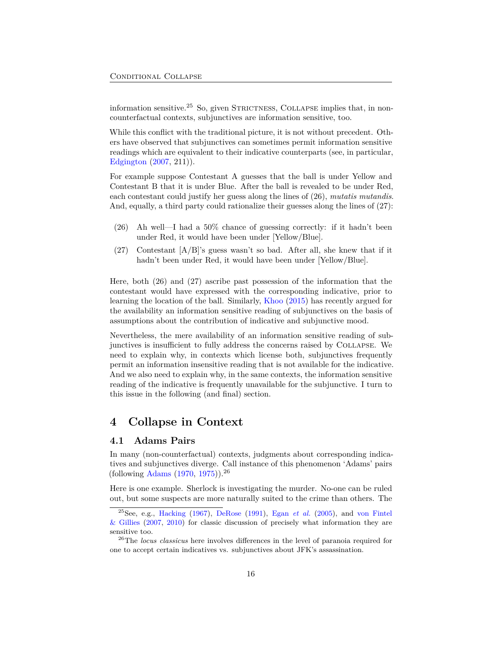information sensitive.<sup>[25](#page-15-1)</sup> So, given STRICTNESS, COLLAPSE implies that, in noncounterfactual contexts, subjunctives are information sensitive, too.

While this conflict with the traditional picture, it is not without precedent. Others have observed that subjunctives can sometimes permit information sensitive readings which are equivalent to their indicative counterparts (see, in particular, [Edgington](#page-26-15) ([2007,](#page-26-15) 211)).

For example suppose Contestant A guesses that the ball is under Yellow and Contestant B that it is under Blue. After the ball is revealed to be under Red, each contestant could justify her guess along the lines of ([26\)](#page-15-2), *mutatis mutandis*. And, equally, a third party could rationalize their guesses along the lines of [\(27](#page-15-3)):

- <span id="page-15-2"></span>(26) Ah well—I had a 50% chance of guessing correctly: if it hadn't been under Red, it would have been under [Yellow/Blue].
- <span id="page-15-3"></span>(27) Contestant  $[A/B]$ 's guess wasn't so bad. After all, she knew that if it hadn't been under Red, it would have been under [Yellow/Blue].

Here, both ([26\)](#page-15-2) and ([27\)](#page-15-3) ascribe past possession of the information that the contestant would have expressed with the corresponding indicative, prior to learning the location of the ball. Similarly, [Khoo](#page-28-1) ([2015\)](#page-28-1) has recently argued for the availability an information sensitive reading of subjunctives on the basis of assumptions about the contribution of indicative and subjunctive mood.

Nevertheless, the mere availability of an information sensitive reading of subjunctives is insufficient to fully address the concerns raised by Collapse. We need to explain why, in contexts which license both, subjunctives frequently permit an information insensitive reading that is not available for the indicative. And we also need to explain why, in the same contexts, the information sensitive reading of the indicative is frequently unavailable for the subjunctive. I turn to this issue in the following (and final) section.

## <span id="page-15-0"></span>**4 Collapse in Context**

#### <span id="page-15-5"></span>**4.1 Adams Pairs**

In many (non-counterfactual) contexts, judgments about corresponding indicatives and subjunctives diverge. Call instance of this phenomenon 'Adams' pairs (following [Adams](#page-25-12) ([1970,](#page-25-12) [1975\)](#page-25-13)).[26](#page-15-4)

Here is one example. Sherlock is investigating the murder. No-one can be ruled out, but some suspects are more naturally suited to the crime than others. The

<span id="page-15-1"></span><sup>&</sup>lt;sup>25</sup>See, e.g., [Hacking](#page-27-13) [\(1967\)](#page-27-13), [DeRose](#page-26-9) ([1991](#page-26-9)), Egan *[et al.](#page-26-16)* [\(2005\)](#page-26-16), and [von Fintel](#page-31-14)  $\&$  Gillies ([2007](#page-31-14), [2010\)](#page-32-11) for classic discussion of precisely what information they are sensitive too.

<span id="page-15-4"></span><sup>26</sup>The *locus classicus* here involves differences in the level of paranoia required for one to accept certain indicatives vs. subjunctives about JFK's assassination.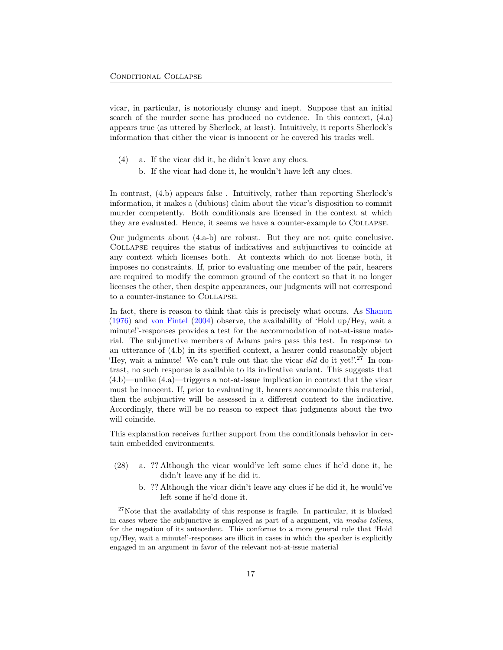vicar, in particular, is notoriously clumsy and inept. Suppose that an initial search of the murder scene has produced no evidence. In this context, [\(4](#page-2-2).a) appears true (as uttered by Sherlock, at least). Intuitively, it reports Sherlock's information that either the vicar is innocent or he covered his tracks well.

- ([4\)](#page-2-2) a. If the vicar did it, he didn't leave any clues.
	- b. If the vicar had done it, he wouldn't have left any clues.

In contrast, ([4.](#page-2-2)b) appears false . Intuitively, rather than reporting Sherlock's information, it makes a (dubious) claim about the vicar's disposition to commit murder competently. Both conditionals are licensed in the context at which they are evaluated. Hence, it seems we have a counter-example to Collapse.

Our judgments about ([4.](#page-2-2)a-b) are robust. But they are not quite conclusive. Collapse requires the status of indicatives and subjunctives to coincide at any context which licenses both. At contexts which do not license both, it imposes no constraints. If, prior to evaluating one member of the pair, hearers are required to modify the common ground of the context so that it no longer licenses the other, then despite appearances, our judgments will not correspond to a counter-instance to Collapse.

In fact, there is reason to think that this is precisely what occurs. As [Shanon](#page-30-8) [\(1976](#page-30-8)) and [von Fintel](#page-31-15) [\(2004](#page-31-15)) observe, the availability of 'Hold up/Hey, wait a minute!'-responses provides a test for the accommodation of not-at-issue material. The subjunctive members of Adams pairs pass this test. In response to an utterance of [\(4](#page-2-2).b) in its specified context, a hearer could reasonably object 'Hey, wait a minute! We can't rule out that the vicar *did* do it yet!'.[27](#page-16-0) In contrast, no such response is available to its indicative variant. This suggests that [\(4](#page-2-2).b)—unlike [\(4](#page-2-2).a)—triggers a not-at-issue implication in context that the vicar must be innocent. If, prior to evaluating it, hearers accommodate this material, then the subjunctive will be assessed in a different context to the indicative. Accordingly, there will be no reason to expect that judgments about the two will coincide.

This explanation receives further support from the conditionals behavior in certain embedded environments.

- <span id="page-16-1"></span>(28) a. ?? Although the vicar would've left some clues if he'd done it, he didn't leave any if he did it.
	- b. ?? Although the vicar didn't leave any clues if he did it, he would've left some if he'd done it.

<span id="page-16-0"></span> $27$ Note that the availability of this response is fragile. In particular, it is blocked in cases where the subjunctive is employed as part of a argument, via *modus tollens*, for the negation of its antecedent. This conforms to a more general rule that 'Hold up/Hey, wait a minute!'-responses are illicit in cases in which the speaker is explicitly engaged in an argument in favor of the relevant not-at-issue material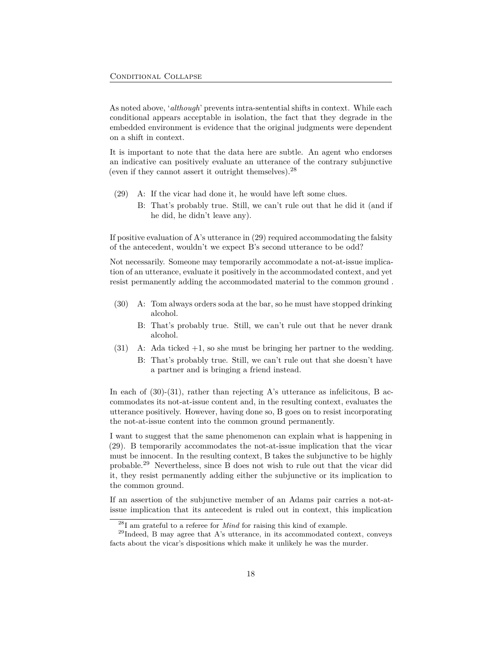As noted above, '*although*' prevents intra-sentential shifts in context. While each conditional appears acceptable in isolation, the fact that they degrade in the embedded environment is evidence that the original judgments were dependent on a shift in context.

It is important to note that the data here are subtle. An agent who endorses an indicative can positively evaluate an utterance of the contrary subjunctive (even if they cannot assert it outright themselves).[28](#page-17-0)

- <span id="page-17-1"></span>(29) A: If the vicar had done it, he would have left some clues.
	- B: That's probably true. Still, we can't rule out that he did it (and if he did, he didn't leave any).

If positive evaluation of A's utterance in [\(29](#page-17-1)) required accommodating the falsity of the antecedent, wouldn't we expect B's second utterance to be odd?

Not necessarily. Someone may temporarily accommodate a not-at-issue implication of an utterance, evaluate it positively in the accommodated context, and yet resist permanently adding the accommodated material to the common ground .

- <span id="page-17-2"></span>(30) A: Tom always orders soda at the bar, so he must have stopped drinking alcohol.
	- B: That's probably true. Still, we can't rule out that he never drank alcohol.
- <span id="page-17-3"></span>(31) A: Ada ticked +1, so she must be bringing her partner to the wedding.
	- B: That's probably true. Still, we can't rule out that she doesn't have a partner and is bringing a friend instead.

In each of  $(30)-(31)$  $(30)-(31)$  $(30)-(31)$  $(30)-(31)$ , rather than rejecting A's utterance as infelicitous, B accommodates its not-at-issue content and, in the resulting context, evaluates the utterance positively. However, having done so, B goes on to resist incorporating the not-at-issue content into the common ground permanently.

I want to suggest that the same phenomenon can explain what is happening in [\(29](#page-17-1)). B temporarily accommodates the not-at-issue implication that the vicar must be innocent. In the resulting context, B takes the subjunctive to be highly probable.[29](#page-17-4) Nevertheless, since B does not wish to rule out that the vicar did it, they resist permanently adding either the subjunctive or its implication to the common ground.

If an assertion of the subjunctive member of an Adams pair carries a not-atissue implication that its antecedent is ruled out in context, this implication

<span id="page-17-4"></span><span id="page-17-0"></span><sup>28</sup>I am grateful to a referee for *Mind* for raising this kind of example.

<sup>29</sup>Indeed, B may agree that A's utterance, in its accommodated context, conveys facts about the vicar's dispositions which make it unlikely he was the murder.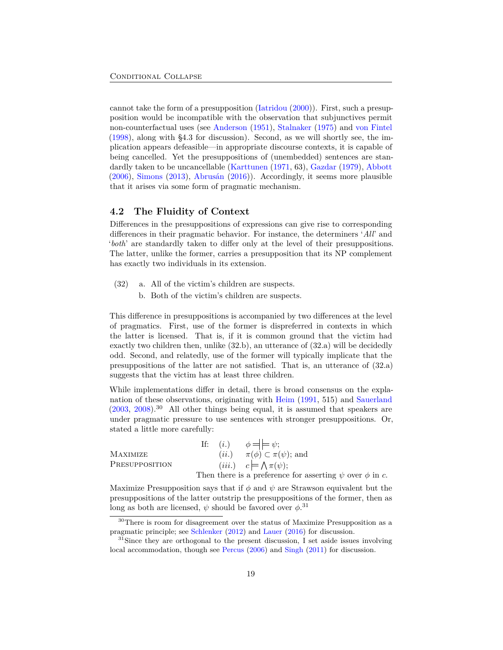cannot take the form of a presupposition ([Iatridou](#page-27-14) [\(2000](#page-27-14))). First, such a presupposition would be incompatible with the observation that subjunctives permit non-counterfactual uses (see [Anderson](#page-25-1) [\(1951](#page-25-1)), [Stalnaker](#page-31-0) [\(1975](#page-31-0)) and [von Fintel](#page-31-1) [\(1998](#page-31-1)), along with §[4.3](#page-21-0) for discussion). Second, as we will shortly see, the implication appears defeasible—in appropriate discourse contexts, it is capable of being cancelled. Yet the presuppositions of (unembedded) sentences are standardly taken to be uncancellable ([Karttunen](#page-28-11) ([1971,](#page-28-11) 63), [Gazdar](#page-26-17) [\(1979](#page-26-17)), [Abbott](#page-25-14) [\(2006](#page-25-14)), [Simons](#page-30-9) ([2013\)](#page-30-9), [Abrusán](#page-25-15) ([2016\)](#page-25-15)). Accordingly, it seems more plausible that it arises via some form of pragmatic mechanism.

### **4.2 The Fluidity of Context**

Differences in the presuppositions of expressions can give rise to corresponding differences in their pragmatic behavior. For instance, the determiners '*All*' and '*both*' are standardly taken to differ only at the level of their presuppositions. The latter, unlike the former, carries a presupposition that its NP complement has exactly two individuals in its extension.

- <span id="page-18-0"></span>(32) a. All of the victim's children are suspects.
	- b. Both of the victim's children are suspects.

This difference in presuppositions is accompanied by two differences at the level of pragmatics. First, use of the former is dispreferred in contexts in which the latter is licensed. That is, if it is common ground that the victim had exactly two children then, unlike [\(32](#page-18-0).b), an utterance of [\(32](#page-18-0).a) will be decidedly odd. Second, and relatedly, use of the former will typically implicate that the presuppositions of the latter are not satisfied. That is, an utterance of [\(32](#page-18-0).a) suggests that the victim has at least three children.

While implementations differ in detail, there is broad consensus on the explanation of these observations, originating with [Heim](#page-27-15) [\(1991,](#page-27-15) 515) and [Sauerland](#page-30-10)  $(2003, 2008)$  $(2003, 2008)$  $(2003, 2008)$  $(2003, 2008)$ <sup>[30](#page-18-1)</sup> All other things being equal, it is assumed that speakers are under pragmatic pressure to use sentences with stronger presuppositions. Or, stated a little more carefully:

|                 |  | If: ( <i>i</i> .) $\phi = \models \psi$ ;                         |
|-----------------|--|-------------------------------------------------------------------|
| <b>MAXIMIZE</b> |  | ( <i>ii.</i> ) $\pi(\phi) \subset \pi(\psi)$ ; and                |
| PRESUPPOSITION  |  | ( <i>iii.</i> ) $c = \bigwedge \pi(\psi);$                        |
|                 |  | Then there is a preference for asserting $\psi$ over $\phi$ in c. |

Maximize Presupposition says that if  $\phi$  and  $\psi$  are Strawson equivalent but the presuppositions of the latter outstrip the presuppositions of the former, then as long as both are licensed,  $\psi$  should be favored over  $\phi$ .<sup>[31](#page-18-2)</sup>

<span id="page-18-1"></span><sup>&</sup>lt;sup>30</sup>There is room for disagreement over the status of Maximize Presupposition as a pragmatic principle; see [Schlenker](#page-30-12) ([2012\)](#page-30-12) and [Lauer](#page-29-10) [\(2016\)](#page-29-10) for discussion.

<span id="page-18-2"></span><sup>&</sup>lt;sup>31</sup>Since they are orthogonal to the present discussion, I set aside issues involving local accommodation, though see [Percus](#page-29-11) ([2006](#page-29-11)) and [Singh](#page-30-13) [\(2011](#page-30-13)) for discussion.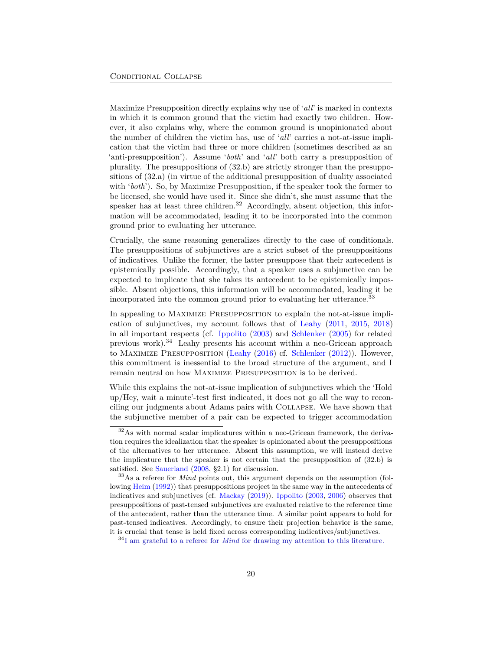Maximize Presupposition directly explains why use of '*all*' is marked in contexts in which it is common ground that the victim had exactly two children. However, it also explains why, where the common ground is unopinionated about the number of children the victim has, use of '*all*' carries a not-at-issue implication that the victim had three or more children (sometimes described as an 'anti-presupposition'). Assume '*both*' and '*all*' both carry a presupposition of plurality. The presuppositions of ([32.](#page-18-0)b) are strictly stronger than the presuppositions of [\(32](#page-18-0).a) (in virtue of the additional presupposition of duality associated with '*both*'). So, by Maximize Presupposition, if the speaker took the former to be licensed, she would have used it. Since she didn't, she must assume that the speaker has at least three children.<sup>[32](#page-19-0)</sup> Accordingly, absent objection, this information will be accommodated, leading it to be incorporated into the common ground prior to evaluating her utterance.

Crucially, the same reasoning generalizes directly to the case of conditionals. The presuppositions of subjunctives are a strict subset of the presuppositions of indicatives. Unlike the former, the latter presuppose that their antecedent is epistemically possible. Accordingly, that a speaker uses a subjunctive can be expected to implicate that she takes its antecedent to be epistemically impossible. Absent objections, this information will be accommodated, leading it be incorporated into the common ground prior to evaluating her utterance.[33](#page-19-1)

In appealing to Maximize Presupposition to explain the not-at-issue implication of subjunctives, my account follows that of [Leahy](#page-29-12) [\(2011,](#page-29-12) [2015](#page-29-13), [2018\)](#page-29-14) in all important respects (cf. [Ippolito](#page-28-12) ([2003\)](#page-28-12) and [Schlenker](#page-30-14) [\(2005](#page-30-14)) for related previous work).[34](#page-19-2) Leahy presents his account within a neo-Gricean approach to Maximize Presupposition [\(Leahy](#page-29-15) ([2016\)](#page-29-15) cf. [Schlenker](#page-30-12) ([2012\)](#page-30-12)). However, this commitment is inessential to the broad structure of the argument, and I remain neutral on how Maximize Presupposition is to be derived.

While this explains the not-at-issue implication of subjunctives which the 'Hold up/Hey, wait a minute'-test first indicated, it does not go all the way to reconciling our judgments about Adams pairs with Collapse. We have shown that the subjunctive member of a pair can be expected to trigger accommodation

<span id="page-19-0"></span><sup>32</sup>As with normal scalar implicatures within a neo-Gricean framework, the derivation requires the idealization that the speaker is opinionated about the presuppositions of the alternatives to her utterance. Absent this assumption, we will instead derive the implicature that the speaker is not certain that the presupposition of ([32.](#page-18-0)b) is satisfied. See [Sauerland](#page-30-11) ([2008](#page-30-11), §2.1) for discussion.

<span id="page-19-1"></span><sup>33</sup>As a referee for *Mind* points out, this argument depends on the assumption (following [Heim](#page-27-16) ([1992](#page-27-16))) that presuppositions project in the same way in the antecedents of indicatives and subjunctives (cf. [Mackay](#page-29-16) ([2019](#page-29-16))). [Ippolito](#page-28-12) [\(2003,](#page-28-12) [2006\)](#page-28-13) observes that presuppositions of past-tensed subjunctives are evaluated relative to the reference time of the antecedent, rather than the utterance time. A similar point appears to hold for past-tensed indicatives. Accordingly, to ensure their projection behavior is the same, it is crucial that tense is held fixed across corresponding indicatives/subjunctives.

<span id="page-19-2"></span><sup>34</sup>I am grateful to a referee for *Mind* for drawing my attention to this literature.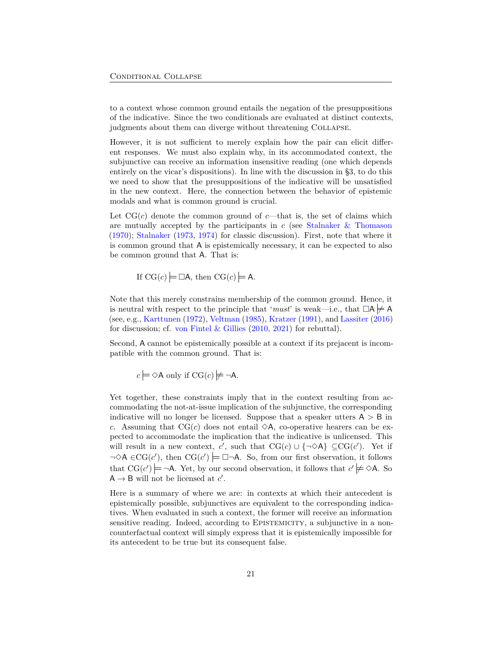to a context whose common ground entails the negation of the presuppositions of the indicative. Since the two conditionals are evaluated at distinct contexts, judgments about them can diverge without threatening Collapse.

However, it is not sufficient to merely explain how the pair can elicit different responses. We must also explain why, in its accommodated context, the subjunctive can receive an information insensitive reading (one which depends entirely on the vicar's dispositions). In line with the discussion in [§3](#page-12-0), to do this we need to show that the presuppositions of the indicative will be unsatisfied in the new context. Here, the connection between the behavior of epistemic modals and what is common ground is crucial.

Let  $CG(c)$  denote the common ground of  $c$ —that is, the set of claims which are mutually accepted by the participants in  $c$  (see Stalnaker  $\&$  Thomason [\(1970](#page-31-16)); [Stalnaker](#page-31-17) [\(1973](#page-31-17), [1974](#page-31-18)) for classic discussion). First, note that where it is common ground that A is epistemically necessary, it can be expected to also be common ground that A. That is:

If 
$$
CG(c) \models \Box A
$$
, then  $CG(c) \models A$ .

Note that this merely constrains membership of the common ground. Hence, it is neutral with respect to the principle that '*must*' is weak—i.e., that  $\Box A \neq A$ (see, e.g., [Karttunen](#page-28-14) ([1972](#page-28-14)), [Veltman](#page-31-10) [\(1985](#page-31-10)), [Kratzer](#page-28-15) [\(1991\)](#page-28-15), and [Lassiter](#page-29-17) ([2016\)](#page-29-17) for discussion; cf. [von Fintel & Gillies](#page-32-11)  $(2010, 2021)$  $(2010, 2021)$  $(2010, 2021)$  $(2010, 2021)$  for rebuttal).

Second, A cannot be epistemically possible at a context if its prejacent is incompatible with the common ground. That is:

 $c \models \Diamond A$  only if  $CG(c) \not\models \neg A$ .

Yet together, these constraints imply that in the context resulting from accommodating the not-at-issue implication of the subjunctive, the corresponding indicative will no longer be licensed. Suppose that a speaker utters  $A > B$  in *c*. Assuming that  $CG(c)$  does not entail  $\Diamond A$ , co-operative hearers can be expected to accommodate the implication that the indicative is unlicensed. This will result in a new context, *c'*, such that  $CG(c) \cup \{\neg \diamond A\} \subseteq CG(c')$ . Yet if *<sup>¬</sup>*3<sup>A</sup> *<sup>∈</sup>*CG(*<sup>c</sup> ′* ), then CG(*c ′* ) *¬*A. So, from our first observation, it follows that  $CG(c') \models \neg A$ . Yet, by our second observation, it follows that  $c' \not\models \Diamond A$ . So  $A \rightarrow B$  will not be licensed at *c'*.

Here is a summary of where we are: in contexts at which their antecedent is epistemically possible, subjunctives are equivalent to the corresponding indicatives. When evaluated in such a context, the former will receive an information sensitive reading. Indeed, according to EPISTEMICITY, a subjunctive in a noncounterfactual context will simply express that it is epistemically impossible for its antecedent to be true but its consequent false.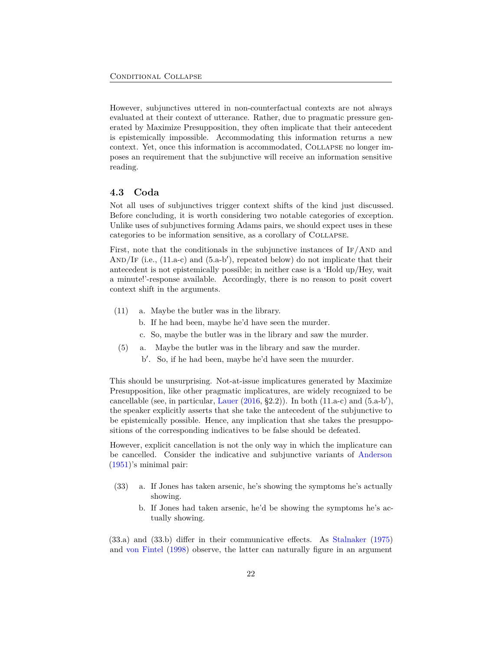However, subjunctives uttered in non-counterfactual contexts are not always evaluated at their context of utterance. Rather, due to pragmatic pressure generated by Maximize Presupposition, they often implicate that their antecedent is epistemically impossible. Accommodating this information returns a new context. Yet, once this information is accommodated, Collapse no longer imposes an requirement that the subjunctive will receive an information sensitive reading.

#### <span id="page-21-0"></span>**4.3 Coda**

Not all uses of subjunctives trigger context shifts of the kind just discussed. Before concluding, it is worth considering two notable categories of exception. Unlike uses of subjunctives forming Adams pairs, we should expect uses in these categories to be information sensitive, as a corollary of Collapse.

First, note that the conditionals in the subjunctive instances of  $IF/AND$  and AND/IF (i.e., [\(11](#page-7-2).a-c) and [\(5](#page-5-2).a-b<sup>'</sup>), repeated below) do not implicate that their antecedent is not epistemically possible; in neither case is a 'Hold up/Hey, wait a minute!'-response available. Accordingly, there is no reason to posit covert context shift in the arguments.

- ([11\)](#page-7-2) a. Maybe the butler was in the library.
	- b. If he had been, maybe he'd have seen the murder.
	- c. So, maybe the butler was in the library and saw the murder.
- ([5\)](#page-5-2) a. Maybe the butler was in the library and saw the murder.
	- b *′* . So, if he had been, maybe he'd have seen the muurder.

This should be unsurprising. Not-at-issue implicatures generated by Maximize Presupposition, like other pragmatic implicatures, are widely recognized to be cancellable (see, in particular, [Lauer](#page-29-10) ([2016,](#page-29-10) §2.2)). In both [\(11](#page-7-2).a-c) and ([5.](#page-5-2)a-b*′* ), the speaker explicitly asserts that she take the antecedent of the subjunctive to be epistemically possible. Hence, any implication that she takes the presuppositions of the corresponding indicatives to be false should be defeated.

However, explicit cancellation is not the only way in which the implicature can be cancelled. Consider the indicative and subjunctive variants of [Anderson](#page-25-1) [\(1951](#page-25-1))'s minimal pair:

- <span id="page-21-1"></span>(33) a. If Jones has taken arsenic, he's showing the symptoms he's actually showing.
	- b. If Jones had taken arsenic, he'd be showing the symptoms he's actually showing.

[\(33](#page-21-1).a) and ([33.](#page-21-1)b) differ in their communicative effects. As [Stalnaker](#page-31-0) ([1975\)](#page-31-0) and [von Fintel](#page-31-1) ([1998\)](#page-31-1) observe, the latter can naturally figure in an argument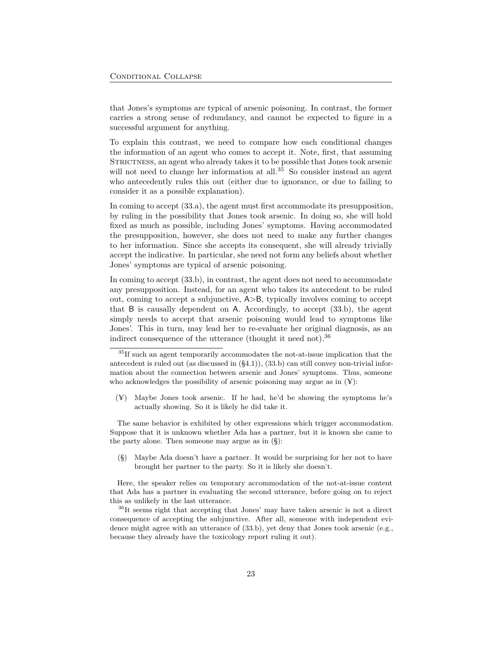that Jones's symptoms are typical of arsenic poisoning. In contrast, the former carries a strong sense of redundancy, and cannot be expected to figure in a successful argument for anything.

To explain this contrast, we need to compare how each conditional changes the information of an agent who comes to accept it. Note, first, that assuming STRICTNESS, an agent who already takes it to be possible that Jones took arsenic will not need to change her information at all.<sup>[35](#page-22-0)</sup> So consider instead an agent who antecedently rules this out (either due to ignorance, or due to failing to consider it as a possible explanation).

In coming to accept [\(33](#page-21-1).a), the agent must first accommodate its presupposition, by ruling in the possibility that Jones took arsenic. In doing so, she will hold fixed as much as possible, including Jones' symptoms. Having accommodated the presupposition, however, she does not need to make any further changes to her information. Since she accepts its consequent, she will already trivially accept the indicative. In particular, she need not form any beliefs about whether Jones' symptoms are typical of arsenic poisoning.

In coming to accept [\(33](#page-21-1).b), in contrast, the agent does not need to accommodate any presupposition. Instead, for an agent who takes its antecedent to be ruled out, coming to accept a subjunctive, A*>*B, typically involves coming to accept that B is causally dependent on A. Accordingly, to accept ([33.](#page-21-1)b), the agent simply needs to accept that arsenic poisoning would lead to symptoms like Jones'. This in turn, may lead her to re-evaluate her original diagnosis, as an indirect consequence of the utterance (thought it need not).<sup>[36](#page-22-1)</sup>

(¥) Maybe Jones took arsenic. If he had, he'd be showing the symptoms he's actually showing. So it is likely he did take it.

The same behavior is exhibited by other expressions which trigger accommodation. Suppose that it is unknown whether Ada has a partner, but it is known she came to the party alone. Then someone may argue as in (§):

(§) Maybe Ada doesn't have a partner. It would be surprising for her not to have brought her partner to the party. So it is likely she doesn't.

Here, the speaker relies on temporary accommodation of the not-at-issue content that Ada has a partner in evaluating the second utterance, before going on to reject this as unlikely in the last utterance.

<span id="page-22-1"></span><sup>36</sup>It seems right that accepting that Jones' may have taken arsenic is not a direct consequence of accepting the subjunctive. After all, someone with independent evidence might agree with an utterance of [\(33.](#page-21-1)b), yet deny that Jones took arsenic (e.g., because they already have the toxicology report ruling it out).

<span id="page-22-0"></span><sup>35</sup>If such an agent temporarily accommodates the not-at-issue implication that the antecedent is ruled out (as discussed in (§[4.1](#page-15-5))), [\(33.](#page-21-1)b) can still convey non-trivial information about the connection between arsenic and Jones' symptoms. Thus, someone who acknowledges the possibility of arsenic poisoning may argue as in  $(\mathbf{Y})$ :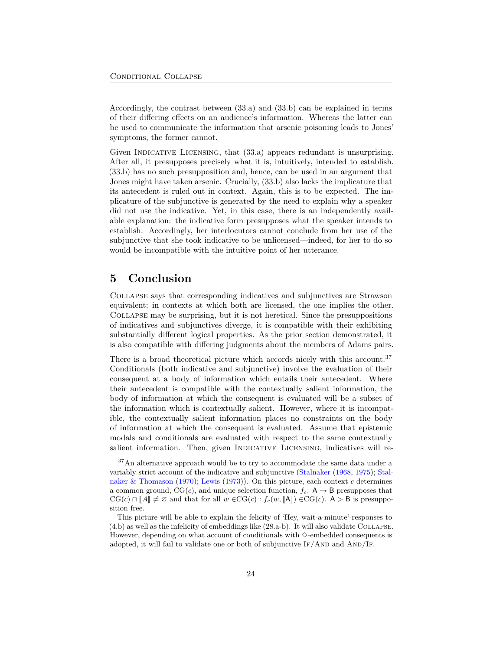Accordingly, the contrast between ([33.](#page-21-1)a) and [\(33](#page-21-1).b) can be explained in terms of their differing effects on an audience's information. Whereas the latter can be used to communicate the information that arsenic poisoning leads to Jones' symptoms, the former cannot.

Given INDICATIVE LICENSING, that  $(33.a)$  $(33.a)$  $(33.a)$  appears redundant is unsurprising. After all, it presupposes precisely what it is, intuitively, intended to establish. [\(33](#page-21-1).b) has no such presupposition and, hence, can be used in an argument that Jones might have taken arsenic. Crucially, ([33.](#page-21-1)b) also lacks the implicature that its antecedent is ruled out in context. Again, this is to be expected. The implicature of the subjunctive is generated by the need to explain why a speaker did not use the indicative. Yet, in this case, there is an independently available explanation: the indicative form presupposes what the speaker intends to establish. Accordingly, her interlocutors cannot conclude from her use of the subjunctive that she took indicative to be unlicensed—indeed, for her to do so would be incompatible with the intuitive point of her utterance.

## **5 Conclusion**

Collapse says that corresponding indicatives and subjunctives are Strawson equivalent; in contexts at which both are licensed, the one implies the other. Collapse may be surprising, but it is not heretical. Since the presuppositions of indicatives and subjunctives diverge, it is compatible with their exhibiting substantially different logical properties. As the prior section demonstrated, it is also compatible with differing judgments about the members of Adams pairs.

There is a broad theoretical picture which accords nicely with this account.<sup>[37](#page-23-0)</sup> Conditionals (both indicative and subjunctive) involve the evaluation of their consequent at a body of information which entails their antecedent. Where their antecedent is compatible with the contextually salient information, the body of information at which the consequent is evaluated will be a subset of the information which is contextually salient. However, where it is incompatible, the contextually salient information places no constraints on the body of information at which the consequent is evaluated. Assume that epistemic modals and conditionals are evaluated with respect to the same contextually salient information. Then, given INDICATIVE LICENSING, indicatives will re-

<span id="page-23-0"></span> $^{37}\mathrm{An}$  alternative approach would be to try to accommodate the same data under a variably strict account of the indicative and subjunctive [\(Stalnaker](#page-30-15) ([1968](#page-30-15), [1975](#page-31-0)); [Stal](#page-31-16)[naker & Thomason](#page-31-16) ([1970\)](#page-31-16); [Lewis](#page-29-4) [\(1973\)](#page-29-4)). On this picture, each context *c* determines a common ground, CG(*c*), and unique selection function,  $f_c$ . A  $\rightarrow$  B presupposes that  $CG(c) \cap [A] \neq \emptyset$  and that for all  $w \in CG(c) : f_c(w, [A]) \in CG(c)$ . A > B is presupposition free.

This picture will be able to explain the felicity of 'Hey, wait-a-minute'-responses to [\(4.](#page-2-2)b) as well as the infelicity of embeddings like ([28.](#page-16-1)a-b). It will also validate Collapse. However, depending on what account of conditionals with  $\Diamond$ -embedded consequents is adopted, it will fail to validate one or both of subjunctive  $I_f/AND$  and  $AND/I_F$ .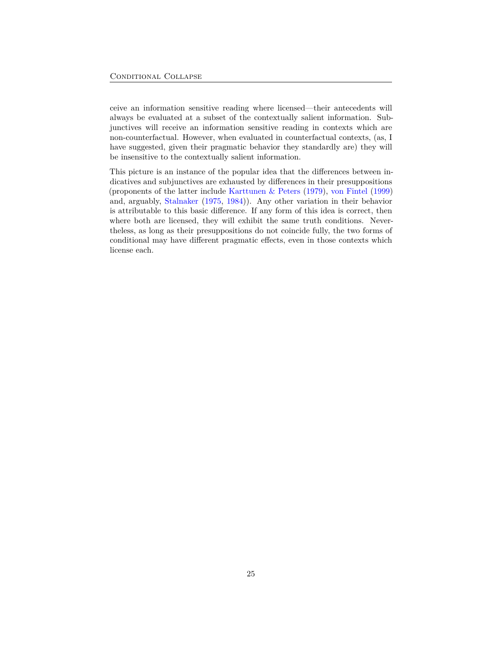ceive an information sensitive reading where licensed—their antecedents will always be evaluated at a subset of the contextually salient information. Subjunctives will receive an information sensitive reading in contexts which are non-counterfactual. However, when evaluated in counterfactual contexts, (as, I have suggested, given their pragmatic behavior they standardly are) they will be insensitive to the contextually salient information.

This picture is an instance of the popular idea that the differences between indicatives and subjunctives are exhausted by differences in their presuppositions (proponents of the latter include [Karttunen & Peters](#page-28-0) ([1979\)](#page-28-0), [von Fintel](#page-31-8) ([1999\)](#page-31-8) and, arguably, [Stalnaker](#page-31-0) [\(1975](#page-31-0), [1984\)](#page-31-6)). Any other variation in their behavior is attributable to this basic difference. If any form of this idea is correct, then where both are licensed, they will exhibit the same truth conditions. Nevertheless, as long as their presuppositions do not coincide fully, the two forms of conditional may have different pragmatic effects, even in those contexts which license each.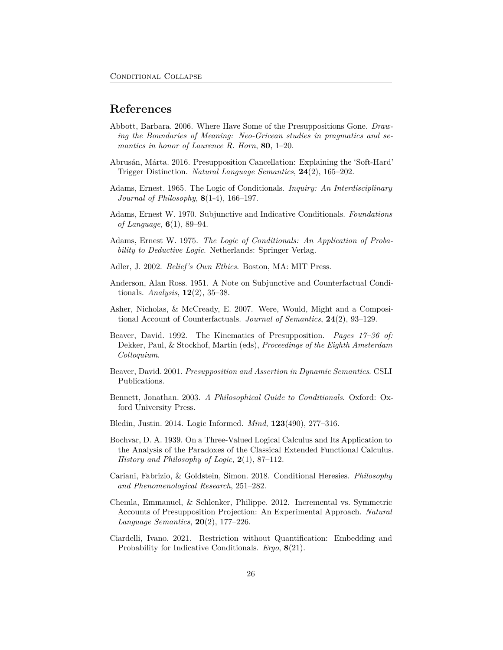### **References**

- <span id="page-25-14"></span>Abbott, Barbara. 2006. Where Have Some of the Presuppositions Gone. *Drawing the Boundaries of Meaning: Neo-Gricean studies in pragmatics and semantics in honor of Laurence R. Horn*, **80**, 1–20.
- <span id="page-25-15"></span>Abrusán, Márta. 2016. Presupposition Cancellation: Explaining the 'Soft-Hard' Trigger Distinction. *Natural Language Semantics*, **24**(2), 165–202.
- <span id="page-25-0"></span>Adams, Ernest. 1965. The Logic of Conditionals. *Inquiry: An Interdisciplinary Journal of Philosophy*, **8**(1-4), 166–197.
- <span id="page-25-12"></span>Adams, Ernest W. 1970. Subjunctive and Indicative Conditionals. *Foundations of Language*, **6**(1), 89–94.
- <span id="page-25-13"></span>Adams, Ernest W. 1975. *The Logic of Conditionals: An Application of Probability to Deductive Logic*. Netherlands: Springer Verlag.
- <span id="page-25-11"></span>Adler, J. 2002. *Belief's Own Ethics*. Boston, MA: MIT Press.
- <span id="page-25-1"></span>Anderson, Alan Ross. 1951. A Note on Subjunctive and Counterfactual Conditionals. *Analysis*, **12**(2), 35–38.
- <span id="page-25-8"></span>Asher, Nicholas, & McCready, E. 2007. Were, Would, Might and a Compositional Account of Counterfactuals. *Journal of Semantics*, **24**(2), 93–129.
- <span id="page-25-5"></span>Beaver, David. 1992. The Kinematics of Presupposition. *Pages 17–36 of:* Dekker, Paul, & Stockhof, Martin (eds), *Proceedings of the Eighth Amsterdam Colloquium*.
- <span id="page-25-2"></span>Beaver, David. 2001. *Presupposition and Assertion in Dynamic Semantics*. CSLI Publications.
- <span id="page-25-7"></span>Bennett, Jonathan. 2003. *A Philosophical Guide to Conditionals*. Oxford: Oxford University Press.
- <span id="page-25-10"></span>Bledin, Justin. 2014. Logic Informed. *Mind*, **123**(490), 277–316.
- <span id="page-25-3"></span>Bochvar, D. A. 1939. On a Three-Valued Logical Calculus and Its Application to the Analysis of the Paradoxes of the Classical Extended Functional Calculus. *History and Philosophy of Logic*, **2**(1), 87–112.
- <span id="page-25-4"></span>Cariani, Fabrizio, & Goldstein, Simon. 2018. Conditional Heresies. *Philosophy and Phenomenological Research*, 251–282.
- <span id="page-25-6"></span>Chemla, Emmanuel, & Schlenker, Philippe. 2012. Incremental vs. Symmetric Accounts of Presupposition Projection: An Experimental Approach. *Natural Language Semantics*, **20**(2), 177–226.
- <span id="page-25-9"></span>Ciardelli, Ivano. 2021. Restriction without Quantification: Embedding and Probability for Indicative Conditionals. *Ergo*, **8**(21).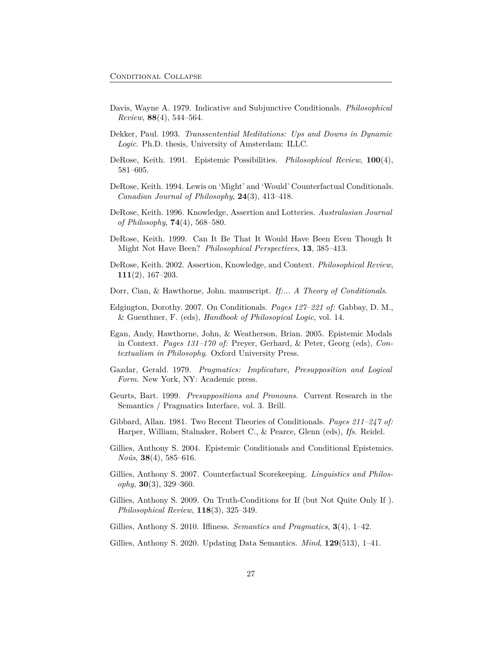- <span id="page-26-0"></span>Davis, Wayne A. 1979. Indicative and Subjunctive Conditionals. *Philosophical Review*, **88**(4), 544–564.
- <span id="page-26-13"></span>Dekker, Paul. 1993. *Transsentential Meditations: Ups and Downs in Dynamic Logic*. Ph.D. thesis, University of Amsterdam: ILLC.
- <span id="page-26-9"></span>DeRose, Keith. 1991. Epistemic Possibilities. *Philosophical Review*, **100**(4), 581–605.
- <span id="page-26-6"></span>DeRose, Keith. 1994. Lewis on 'Might' and 'Would' Counterfactual Conditionals. *Canadian Journal of Philosophy*, **24**(3), 413–418.
- <span id="page-26-10"></span>DeRose, Keith. 1996. Knowledge, Assertion and Lotteries. *Australasian Journal of Philosophy*, **74**(4), 568–580.
- <span id="page-26-7"></span>DeRose, Keith. 1999. Can It Be That It Would Have Been Even Though It Might Not Have Been? *Philosophical Perspectives*, **13**, 385–413.
- <span id="page-26-11"></span>DeRose, Keith. 2002. Assertion, Knowledge, and Context. *Philosophical Review*, **111**(2), 167–203.
- <span id="page-26-12"></span>Dorr, Cian, & Hawthorne, John. manuscript. *If:... A Theory of Conditionals*.
- <span id="page-26-15"></span>Edgington, Dorothy. 2007. On Conditionals. *Pages 127–221 of:* Gabbay, D. M., & Guenthner, F. (eds), *Handbook of Philosopical Logic*, vol. 14.
- <span id="page-26-16"></span>Egan, Andy, Hawthorne, John, & Weatherson, Brian. 2005. Epistemic Modals in Context. *Pages 131–170 of:* Preyer, Gerhard, & Peter, Georg (eds), *Contextualism in Philosophy*. Oxford University Press.
- <span id="page-26-17"></span>Gazdar, Gerald. 1979. *Pragmatics: Implicature, Presupposition and Logical Form*. New York, NY: Academic press.
- <span id="page-26-4"></span>Geurts, Bart. 1999. *Presuppositions and Pronouns*. Current Research in the Semantics / Pragmatics Interface, vol. 3. Brill.
- <span id="page-26-1"></span>Gibbard, Allan. 1981. Two Recent Theories of Conditionals. *Pages 211–247 of:* Harper, William, Stalnaker, Robert C., & Pearce, Glenn (eds), *Ifs*. Reidel.
- <span id="page-26-14"></span>Gillies, Anthony S. 2004. Epistemic Conditionals and Conditional Epistemics. *Noûs*, **38**(4), 585–616.
- <span id="page-26-5"></span>Gillies, Anthony S. 2007. Counterfactual Scorekeeping. *Linguistics and Philosophy*, **30**(3), 329–360.
- <span id="page-26-2"></span>Gillies, Anthony S. 2009. On Truth-Conditions for If (but Not Quite Only If ). *Philosophical Review*, **118**(3), 325–349.
- <span id="page-26-8"></span>Gillies, Anthony S. 2010. Iffiness. *Semantics and Pragmatics*, **3**(4), 1–42.
- <span id="page-26-3"></span>Gillies, Anthony S. 2020. Updating Data Semantics. *Mind*, **129**(513), 1–41.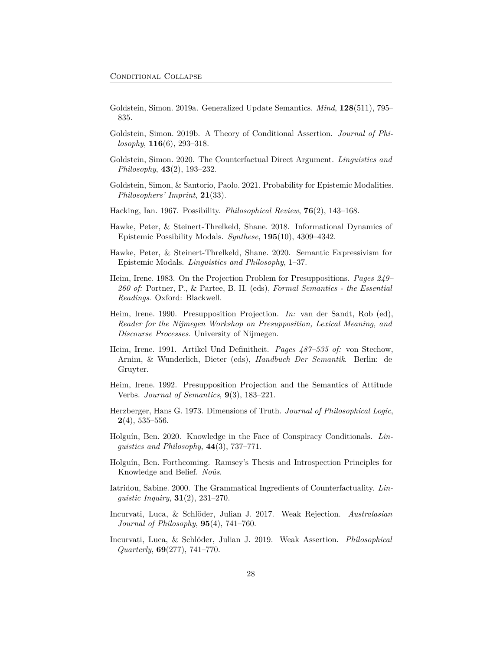- <span id="page-27-3"></span>Goldstein, Simon. 2019a. Generalized Update Semantics. *Mind*, **128**(511), 795– 835.
- <span id="page-27-11"></span>Goldstein, Simon. 2019b. A Theory of Conditional Assertion. *Journal of Philosophy*, **116**(6), 293–318.
- <span id="page-27-0"></span>Goldstein, Simon. 2020. The Counterfactual Direct Argument. *Linguistics and Philosophy*, **43**(2), 193–232.
- <span id="page-27-8"></span>Goldstein, Simon, & Santorio, Paolo. 2021. Probability for Epistemic Modalities. *Philosophers' Imprint*, **21**(33).
- <span id="page-27-13"></span>Hacking, Ian. 1967. Possibility. *Philosophical Review*, **76**(2), 143–168.
- <span id="page-27-6"></span>Hawke, Peter, & Steinert-Threlkeld, Shane. 2018. Informational Dynamics of Epistemic Possibility Modals. *Synthese*, **195**(10), 4309–4342.
- <span id="page-27-7"></span>Hawke, Peter, & Steinert-Threlkeld, Shane. 2020. Semantic Expressivism for Epistemic Modals. *Linguistics and Philosophy*, 1–37.
- <span id="page-27-4"></span>Heim, Irene. 1983. On the Projection Problem for Presuppositions. *Pages 249– 260 of:* Portner, P., & Partee, B. H. (eds), *Formal Semantics - the Essential Readings*. Oxford: Blackwell.
- <span id="page-27-5"></span>Heim, Irene. 1990. Presupposition Projection. *In:* van der Sandt, Rob (ed), *Reader for the Nijmegen Workshop on Presupposition, Lexical Meaning, and Discourse Processes*. University of Nijmegen.
- <span id="page-27-15"></span>Heim, Irene. 1991. Artikel Und Definitheit. *Pages 487–535 of:* von Stechow, Arnim, & Wunderlich, Dieter (eds), *Handbuch Der Semantik*. Berlin: de Gruyter.
- <span id="page-27-16"></span>Heim, Irene. 1992. Presupposition Projection and the Semantics of Attitude Verbs. *Journal of Semantics*, **9**(3), 183–221.
- <span id="page-27-2"></span>Herzberger, Hans G. 1973. Dimensions of Truth. *Journal of Philosophical Logic*, **2**(4), 535–556.
- <span id="page-27-1"></span>Holguín, Ben. 2020. Knowledge in the Face of Conspiracy Conditionals. *Linguistics and Philosophy*, **44**(3), 737–771.
- <span id="page-27-12"></span>Holguín, Ben. Forthcoming. Ramsey's Thesis and Introspection Principles for Knowledge and Belief. *Noûs*.
- <span id="page-27-14"></span>Iatridou, Sabine. 2000. The Grammatical Ingredients of Counterfactuality. *Linguistic Inquiry*, **31**(2), 231–270.
- <span id="page-27-9"></span>Incurvati, Luca, & Schlöder, Julian J. 2017. Weak Rejection. *Australasian Journal of Philosophy*, **95**(4), 741–760.
- <span id="page-27-10"></span>Incurvati, Luca, & Schlöder, Julian J. 2019. Weak Assertion. *Philosophical Quarterly*, **69**(277), 741–770.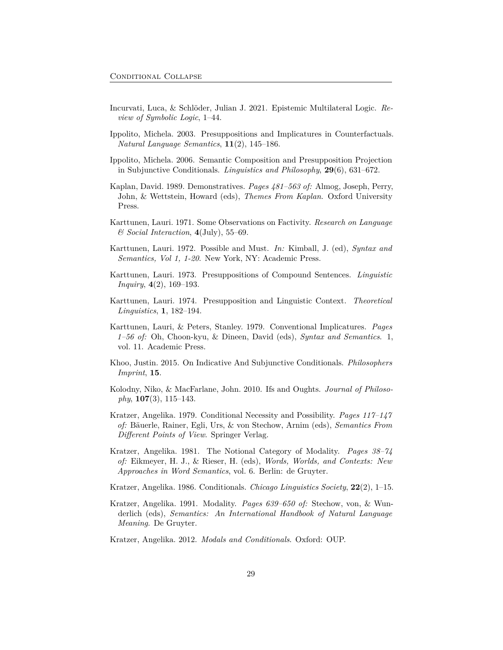- <span id="page-28-9"></span>Incurvati, Luca, & Schlöder, Julian J. 2021. Epistemic Multilateral Logic. *Review of Symbolic Logic*, 1–44.
- <span id="page-28-12"></span>Ippolito, Michela. 2003. Presuppositions and Implicatures in Counterfactuals. *Natural Language Semantics*, **11**(2), 145–186.
- <span id="page-28-13"></span>Ippolito, Michela. 2006. Semantic Composition and Presupposition Projection in Subjunctive Conditionals. *Linguistics and Philosophy*, **29**(6), 631–672.
- <span id="page-28-6"></span>Kaplan, David. 1989. Demonstratives. *Pages 481–563 of:* Almog, Joseph, Perry, John, & Wettstein, Howard (eds), *Themes From Kaplan*. Oxford University Press.
- <span id="page-28-11"></span>Karttunen, Lauri. 1971. Some Observations on Factivity. *Research on Language & Social Interaction*, **4**(July), 55–69.
- <span id="page-28-14"></span>Karttunen, Lauri. 1972. Possible and Must. *In:* Kimball, J. (ed), *Syntax and Semantics, Vol 1, 1-20*. New York, NY: Academic Press.
- <span id="page-28-7"></span>Karttunen, Lauri. 1973. Presuppositions of Compound Sentences. *Linguistic Inquiry*, **4**(2), 169–193.
- <span id="page-28-8"></span>Karttunen, Lauri. 1974. Presupposition and Linguistic Context. *Theoretical Linguistics*, **1**, 182–194.
- <span id="page-28-0"></span>Karttunen, Lauri, & Peters, Stanley. 1979. Conventional Implicatures. *Pages 1–56 of:* Oh, Choon-kyu, & Dineen, David (eds), *Syntax and Semantics*. 1, vol. 11. Academic Press.
- <span id="page-28-1"></span>Khoo, Justin. 2015. On Indicative And Subjunctive Conditionals. *Philosophers Imprint*, **15**.
- <span id="page-28-10"></span>Kolodny, Niko, & MacFarlane, John. 2010. Ifs and Oughts. *Journal of Philosophy*, **107**(3), 115–143.
- <span id="page-28-2"></span>Kratzer, Angelika. 1979. Conditional Necessity and Possibility. *Pages 117–147 of:* Bäuerle, Rainer, Egli, Urs, & von Stechow, Arnim (eds), *Semantics From Different Points of View*. Springer Verlag.
- <span id="page-28-3"></span>Kratzer, Angelika. 1981. The Notional Category of Modality. *Pages 38–74 of:* Eikmeyer, H. J., & Rieser, H. (eds), *Words, Worlds, and Contexts: New Approaches in Word Semantics*, vol. 6. Berlin: de Gruyter.
- <span id="page-28-4"></span>Kratzer, Angelika. 1986. Conditionals. *Chicago Linguistics Society*, **22**(2), 1–15.
- <span id="page-28-15"></span>Kratzer, Angelika. 1991. Modality. *Pages 639–650 of:* Stechow, von, & Wunderlich (eds), *Semantics: An International Handbook of Natural Language Meaning*. De Gruyter.
- <span id="page-28-5"></span>Kratzer, Angelika. 2012. *Modals and Conditionals*. Oxford: OUP.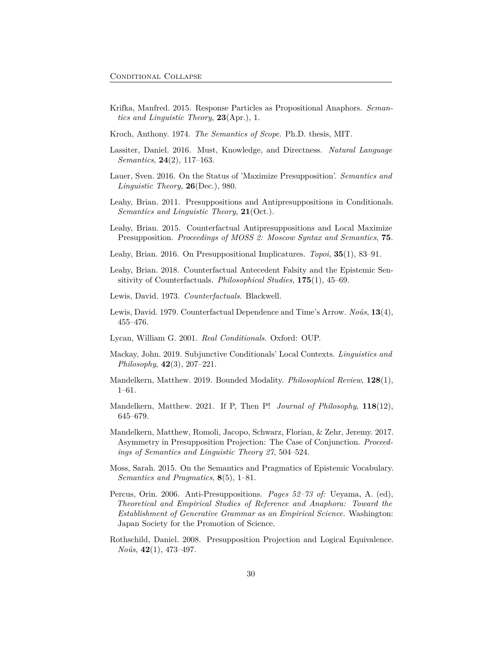<span id="page-29-7"></span>Krifka, Manfred. 2015. Response Particles as Propositional Anaphors. *Semantics and Linguistic Theory*, **23**(Apr.), 1.

<span id="page-29-6"></span>Kroch, Anthony. 1974. *The Semantics of Scope*. Ph.D. thesis, MIT.

- <span id="page-29-17"></span>Lassiter, Daniel. 2016. Must, Knowledge, and Directness. *Natural Language Semantics*, **24**(2), 117–163.
- <span id="page-29-10"></span>Lauer, Sven. 2016. On the Status of 'Maximize Presupposition'. *Semantics and Linguistic Theory*, **26**(Dec.), 980.
- <span id="page-29-12"></span>Leahy, Brian. 2011. Presuppositions and Antipresuppositions in Conditionals. *Semantics and Linguistic Theory*, **21**(Oct.).
- <span id="page-29-13"></span>Leahy, Brian. 2015. Counterfactual Antipresuppositions and Local Maximize Presupposition. *Proceedings of MOSS 2: Moscow Syntax and Semantics*, **75**.
- <span id="page-29-15"></span>Leahy, Brian. 2016. On Presuppositional Implicatures. *Topoi*, **35**(1), 83–91.
- <span id="page-29-14"></span>Leahy, Brian. 2018. Counterfactual Antecedent Falsity and the Epistemic Sensitivity of Counterfactuals. *Philosophical Studies*, **175**(1), 45–69.
- <span id="page-29-4"></span>Lewis, David. 1973. *Counterfactuals*. Blackwell.
- <span id="page-29-5"></span>Lewis, David. 1979. Counterfactual Dependence and Time's Arrow. *Noûs*, **13**(4), 455–476.
- <span id="page-29-9"></span>Lycan, William G. 2001. *Real Conditionals*. Oxford: OUP.
- <span id="page-29-16"></span>Mackay, John. 2019. Subjunctive Conditionals' Local Contexts. *Linguistics and Philosophy*, **42**(3), 207–221.
- <span id="page-29-8"></span>Mandelkern, Matthew. 2019. Bounded Modality. *Philosophical Review*, **128**(1), 1–61.
- <span id="page-29-0"></span>Mandelkern, Matthew. 2021. If P, Then P! *Journal of Philosophy*, **118**(12), 645–679.
- <span id="page-29-3"></span>Mandelkern, Matthew, Romoli, Jacopo, Schwarz, Florian, & Zehr, Jeremy. 2017. Asymmetry in Presupposition Projection: The Case of Conjunction. *Proceedings of Semantics and Linguistic Theory 27*, 504–524.
- <span id="page-29-1"></span>Moss, Sarah. 2015. On the Semantics and Pragmatics of Epistemic Vocabulary. *Semantics and Pragmatics*, **8**(5), 1–81.
- <span id="page-29-11"></span>Percus, Orin. 2006. Anti-Presuppositions. *Pages 52–73 of:* Ueyama, A. (ed), *Theoretical and Empirical Studies of Reference and Anaphora: Toward the Establishment of Generative Grammar as an Empirical Science.* Washington: Japan Society for the Promotion of Science.
- <span id="page-29-2"></span>Rothschild, Daniel. 2008. Presupposition Projection and Logical Equivalence. *Noûs*, **42**(1), 473–497.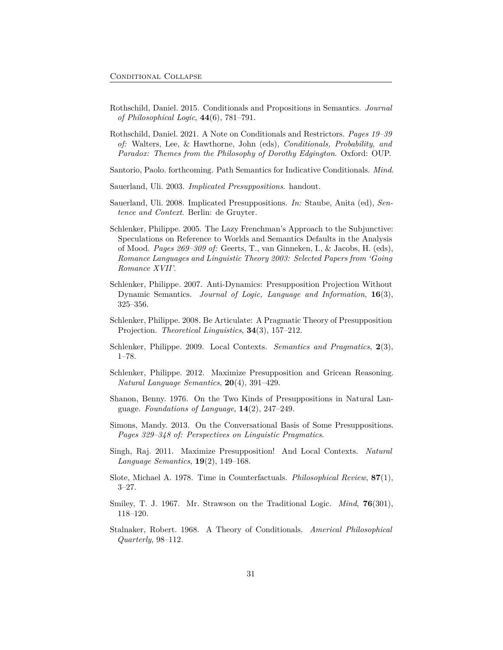- <span id="page-30-7"></span>Rothschild, Daniel. 2015. Conditionals and Propositions in Semantics. *Journal of Philosophical Logic*, **44**(6), 781–791.
- <span id="page-30-1"></span>Rothschild, Daniel. 2021. A Note on Conditionals and Restrictors. *Pages 19–39 of:* Walters, Lee, & Hawthorne, John (eds), *Conditionals, Probability, and Paradox: Themes from the Philosophy of Dorothy Edgington*. Oxford: OUP.
- <span id="page-30-6"></span>Santorio, Paolo. forthcoming. Path Semantics for Indicative Conditionals. *Mind*.
- <span id="page-30-10"></span>Sauerland, Uli. 2003. *Implicated Presuppositions*. handout.
- <span id="page-30-11"></span>Sauerland, Uli. 2008. Implicated Presuppositions. *In:* Staube, Anita (ed), *Sentence and Context*. Berlin: de Gruyter.
- <span id="page-30-14"></span>Schlenker, Philippe. 2005. The Lazy Frenchman's Approach to the Subjunctive: Speculations on Reference to Worlds and Semantics Defaults in the Analysis of Mood. *Pages 269–309 of:* Geerts, T., van Ginneken, I., & Jacobs, H. (eds), *Romance Languages and Linguistic Theory 2003: Selected Papers from 'Going Romance XVII'*.
- <span id="page-30-3"></span>Schlenker, Philippe. 2007. Anti-Dynamics: Presupposition Projection Without Dynamic Semantics. *Journal of Logic, Language and Information*, **16**(3), 325–356.
- <span id="page-30-4"></span>Schlenker, Philippe. 2008. Be Articulate: A Pragmatic Theory of Presupposition Projection. *Theoretical Linguistics*, **34**(3), 157–212.
- <span id="page-30-5"></span>Schlenker, Philippe. 2009. Local Contexts. *Semantics and Pragmatics*, **2**(3), 1–78.
- <span id="page-30-12"></span>Schlenker, Philippe. 2012. Maximize Presupposition and Gricean Reasoning. *Natural Language Semantics*, **20**(4), 391–429.
- <span id="page-30-8"></span>Shanon, Benny. 1976. On the Two Kinds of Presuppositions in Natural Language. *Foundations of Language*, **14**(2), 247–249.
- <span id="page-30-9"></span>Simons, Mandy. 2013. On the Conversational Basis of Some Presuppositions. *Pages 329–348 of: Perspectives on Linguistic Pragmatics*.
- <span id="page-30-13"></span>Singh, Raj. 2011. Maximize Presupposition! And Local Contexts. *Natural Language Semantics*, **19**(2), 149–168.
- <span id="page-30-0"></span>Slote, Michael A. 1978. Time in Counterfactuals. *Philosophical Review*, **87**(1), 3–27.
- <span id="page-30-2"></span>Smiley, T. J. 1967. Mr. Strawson on the Traditional Logic. *Mind*, **76**(301), 118–120.
- <span id="page-30-15"></span>Stalnaker, Robert. 1968. A Theory of Conditionals. *Americal Philosophical Quarterly*, 98–112.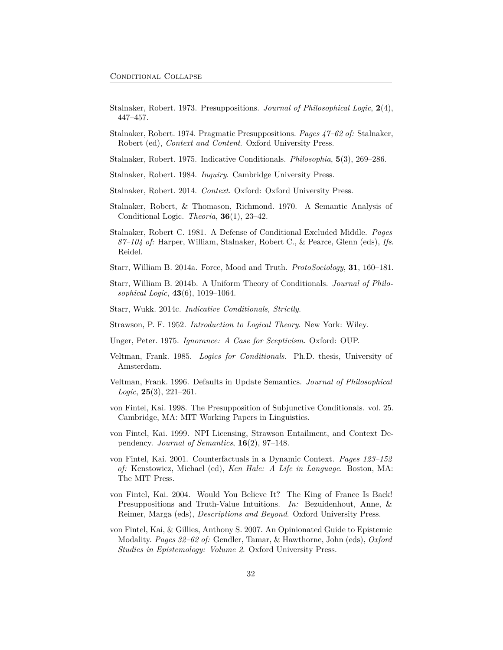- <span id="page-31-17"></span>Stalnaker, Robert. 1973. Presuppositions. *Journal of Philosophical Logic*, **2**(4), 447–457.
- <span id="page-31-18"></span>Stalnaker, Robert. 1974. Pragmatic Presuppositions. *Pages 47–62 of:* Stalnaker, Robert (ed), *Context and Content*. Oxford University Press.
- <span id="page-31-0"></span>Stalnaker, Robert. 1975. Indicative Conditionals. *Philosophia*, **5**(3), 269–286.
- <span id="page-31-6"></span>Stalnaker, Robert. 1984. *Inquiry*. Cambridge University Press.
- <span id="page-31-3"></span>Stalnaker, Robert. 2014. *Context*. Oxford: Oxford University Press.
- <span id="page-31-16"></span>Stalnaker, Robert, & Thomason, Richmond. 1970. A Semantic Analysis of Conditional Logic. *Theoria*, **36**(1), 23–42.
- <span id="page-31-12"></span>Stalnaker, Robert C. 1981. A Defense of Conditional Excluded Middle. *Pages 87–104 of:* Harper, William, Stalnaker, Robert C., & Pearce, Glenn (eds), *Ifs*. Reidel.
- <span id="page-31-5"></span>Starr, William B. 2014a. Force, Mood and Truth. *ProtoSociology*, **31**, 160–181.
- <span id="page-31-2"></span>Starr, William B. 2014b. A Uniform Theory of Conditionals. *Journal of Philosophical Logic*, **43**(6), 1019–1064.
- <span id="page-31-4"></span>Starr, Wukk. 2014c. *Indicative Conditionals, Strictly*.
- <span id="page-31-7"></span>Strawson, P. F. 1952. *Introduction to Logical Theory*. New York: Wiley.
- <span id="page-31-13"></span>Unger, Peter. 1975. *Ignorance: A Case for Scepticism*. Oxford: OUP.
- <span id="page-31-10"></span>Veltman, Frank. 1985. *Logics for Conditionals*. Ph.D. thesis, University of Amsterdam.
- <span id="page-31-9"></span>Veltman, Frank. 1996. Defaults in Update Semantics. *Journal of Philosophical Logic*, **25**(3), 221–261.
- <span id="page-31-1"></span>von Fintel, Kai. 1998. The Presupposition of Subjunctive Conditionals. vol. 25. Cambridge, MA: MIT Working Papers in Linguistics.
- <span id="page-31-8"></span>von Fintel, Kai. 1999. NPI Licensing, Strawson Entailment, and Context Dependency. *Journal of Semantics*, **16**(2), 97–148.
- <span id="page-31-11"></span>von Fintel, Kai. 2001. Counterfactuals in a Dynamic Context. *Pages 123–152 of:* Kenstowicz, Michael (ed), *Ken Hale: A Life in Language*. Boston, MA: The MIT Press.
- <span id="page-31-15"></span>von Fintel, Kai. 2004. Would You Believe It? The King of France Is Back! Presuppositions and Truth-Value Intuitions. *In:* Bezuidenhout, Anne, & Reimer, Marga (eds), *Descriptions and Beyond*. Oxford University Press.
- <span id="page-31-14"></span>von Fintel, Kai, & Gillies, Anthony S. 2007. An Opinionated Guide to Epistemic Modality. *Pages 32–62 of:* Gendler, Tamar, & Hawthorne, John (eds), *Oxford Studies in Epistemology: Volume 2*. Oxford University Press.